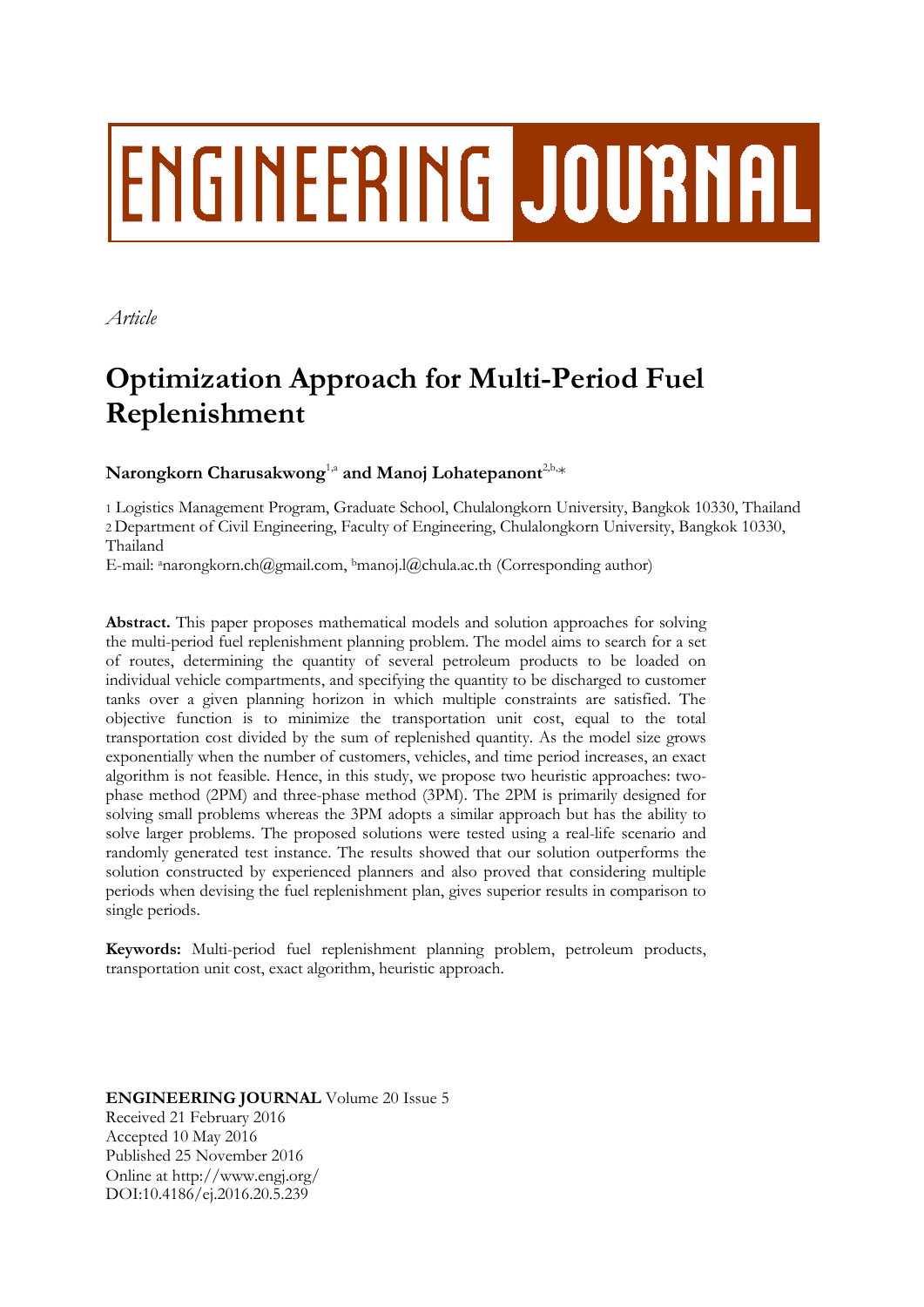# **ENGINEERING JOURNAL**

*Article*

# **Optimization Approach for Multi-Period Fuel Replenishment**

# $\mathbf{N}$ arongkorn Charusakwong<sup>1,a</sup> and Manoj Lohatepanont<sup>2,b,</sup>\*

1 Logistics Management Program, Graduate School, Chulalongkorn University, Bangkok 10330, Thailand 2 Department of Civil Engineering, Faculty of Engineering, Chulalongkorn University, Bangkok 10330, Thailand

E-mail: <sup>a</sup>narongkorn.ch@gmail.com, <sup>b</sup>manoj.l@chula.ac.th (Corresponding author)

**Abstract.** This paper proposes mathematical models and solution approaches for solving the multi-period fuel replenishment planning problem. The model aims to search for a set of routes, determining the quantity of several petroleum products to be loaded on individual vehicle compartments, and specifying the quantity to be discharged to customer tanks over a given planning horizon in which multiple constraints are satisfied. The objective function is to minimize the transportation unit cost, equal to the total transportation cost divided by the sum of replenished quantity. As the model size grows exponentially when the number of customers, vehicles, and time period increases, an exact algorithm is not feasible. Hence, in this study, we propose two heuristic approaches: twophase method (2PM) and three-phase method (3PM). The 2PM is primarily designed for solving small problems whereas the 3PM adopts a similar approach but has the ability to solve larger problems. The proposed solutions were tested using a real-life scenario and randomly generated test instance. The results showed that our solution outperforms the solution constructed by experienced planners and also proved that considering multiple periods when devising the fuel replenishment plan, gives superior results in comparison to single periods.

**Keywords:** Multi-period fuel replenishment planning problem, petroleum products, transportation unit cost, exact algorithm, heuristic approach.

**ENGINEERING JOURNAL** Volume 20 Issue 5 Received 21 February 2016 Accepted 10 May 2016 Published 25 November 2016 Online at http://www.engj.org/ DOI:10.4186/ej.2016.20.5.239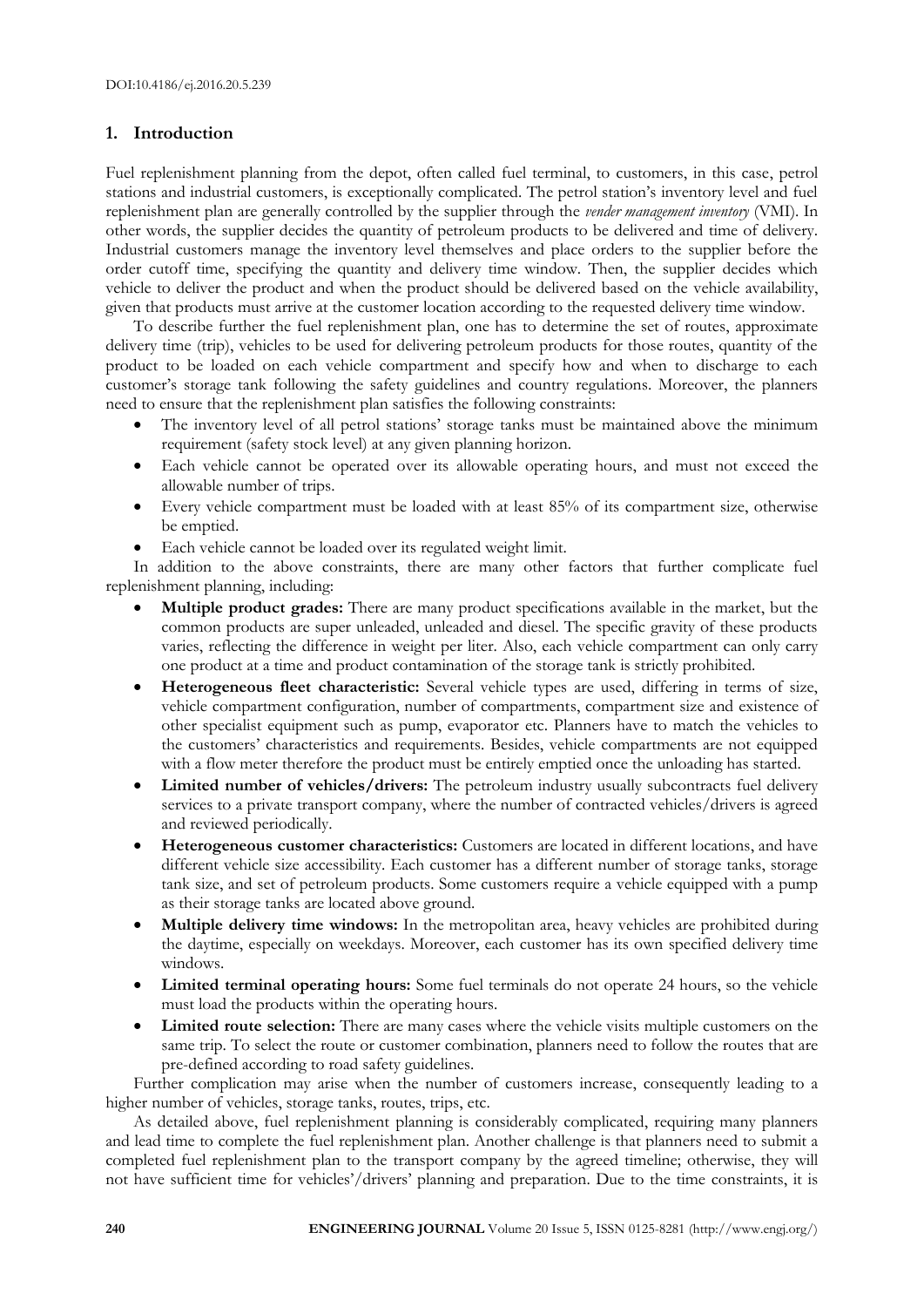# **1. Introduction**

Fuel replenishment planning from the depot, often called fuel terminal, to customers, in this case, petrol stations and industrial customers, is exceptionally complicated. The petrol station's inventory level and fuel replenishment plan are generally controlled by the supplier through the *vender management inventory* (VMI). In other words, the supplier decides the quantity of petroleum products to be delivered and time of delivery. Industrial customers manage the inventory level themselves and place orders to the supplier before the order cutoff time, specifying the quantity and delivery time window. Then, the supplier decides which vehicle to deliver the product and when the product should be delivered based on the vehicle availability, given that products must arrive at the customer location according to the requested delivery time window.

To describe further the fuel replenishment plan, one has to determine the set of routes, approximate delivery time (trip), vehicles to be used for delivering petroleum products for those routes, quantity of the product to be loaded on each vehicle compartment and specify how and when to discharge to each customer's storage tank following the safety guidelines and country regulations. Moreover, the planners need to ensure that the replenishment plan satisfies the following constraints:

- The inventory level of all petrol stations' storage tanks must be maintained above the minimum requirement (safety stock level) at any given planning horizon.
- Each vehicle cannot be operated over its allowable operating hours, and must not exceed the allowable number of trips.
- Every vehicle compartment must be loaded with at least 85% of its compartment size, otherwise be emptied.
- Each vehicle cannot be loaded over its regulated weight limit.

In addition to the above constraints, there are many other factors that further complicate fuel replenishment planning, including:

- **Multiple product grades:** There are many product specifications available in the market, but the common products are super unleaded, unleaded and diesel. The specific gravity of these products varies, reflecting the difference in weight per liter. Also, each vehicle compartment can only carry one product at a time and product contamination of the storage tank is strictly prohibited.
- **Heterogeneous fleet characteristic:** Several vehicle types are used, differing in terms of size, vehicle compartment configuration, number of compartments, compartment size and existence of other specialist equipment such as pump, evaporator etc. Planners have to match the vehicles to the customers' characteristics and requirements. Besides, vehicle compartments are not equipped with a flow meter therefore the product must be entirely emptied once the unloading has started.
- **Limited number of vehicles/drivers:** The petroleum industry usually subcontracts fuel delivery services to a private transport company, where the number of contracted vehicles/drivers is agreed and reviewed periodically.
- **Heterogeneous customer characteristics:** Customers are located in different locations, and have different vehicle size accessibility. Each customer has a different number of storage tanks, storage tank size, and set of petroleum products. Some customers require a vehicle equipped with a pump as their storage tanks are located above ground.
- **Multiple delivery time windows:** In the metropolitan area, heavy vehicles are prohibited during the daytime, especially on weekdays. Moreover, each customer has its own specified delivery time windows.
- **Limited terminal operating hours:** Some fuel terminals do not operate 24 hours, so the vehicle must load the products within the operating hours.
- **Limited route selection:** There are many cases where the vehicle visits multiple customers on the same trip. To select the route or customer combination, planners need to follow the routes that are pre-defined according to road safety guidelines.

Further complication may arise when the number of customers increase, consequently leading to a higher number of vehicles, storage tanks, routes, trips, etc.

As detailed above, fuel replenishment planning is considerably complicated, requiring many planners and lead time to complete the fuel replenishment plan. Another challenge is that planners need to submit a completed fuel replenishment plan to the transport company by the agreed timeline; otherwise, they will not have sufficient time for vehicles'/drivers' planning and preparation. Due to the time constraints, it is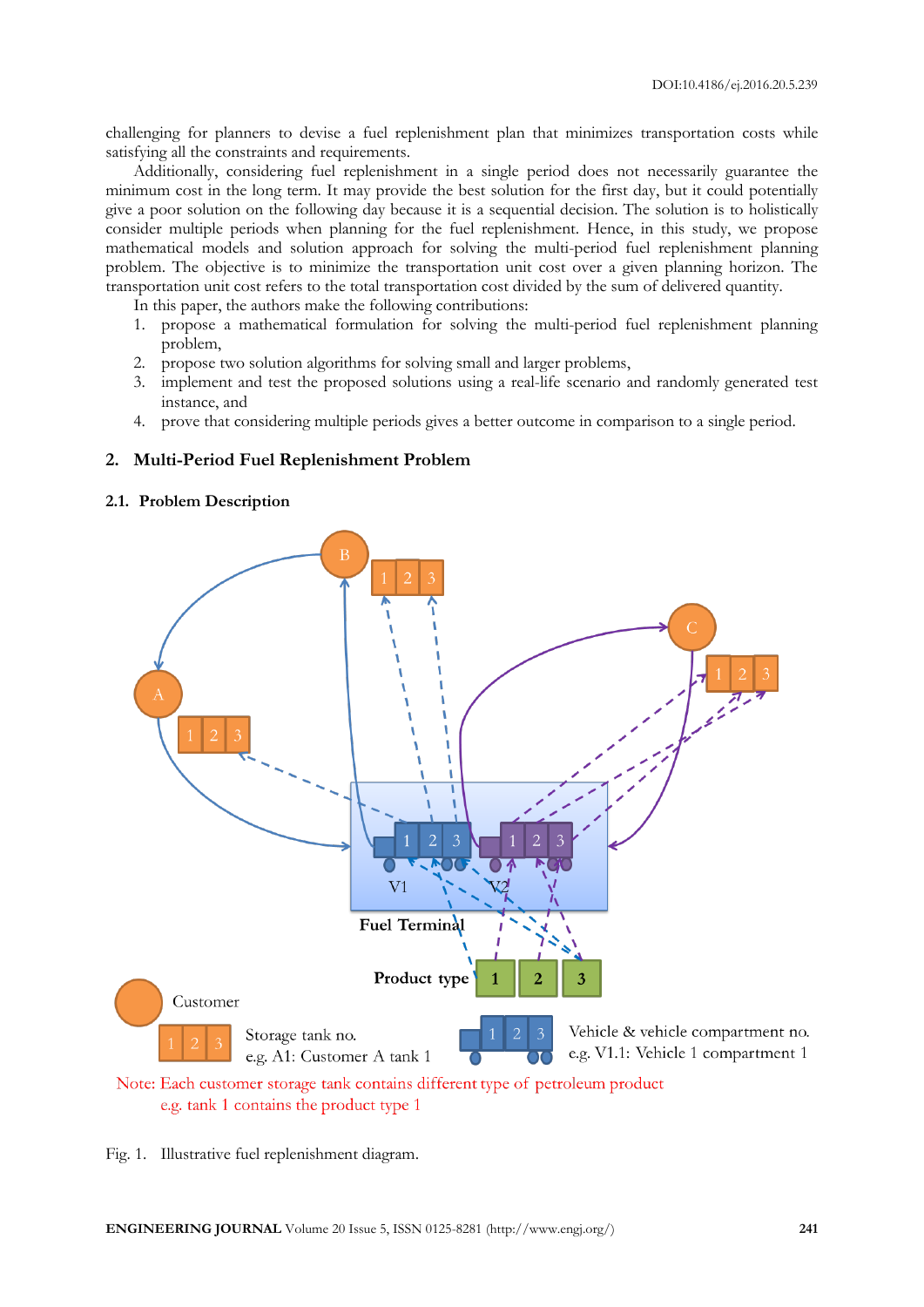challenging for planners to devise a fuel replenishment plan that minimizes transportation costs while satisfying all the constraints and requirements.

Additionally, considering fuel replenishment in a single period does not necessarily guarantee the minimum cost in the long term. It may provide the best solution for the first day, but it could potentially give a poor solution on the following day because it is a sequential decision. The solution is to holistically consider multiple periods when planning for the fuel replenishment. Hence, in this study, we propose mathematical models and solution approach for solving the multi-period fuel replenishment planning problem. The objective is to minimize the transportation unit cost over a given planning horizon. The transportation unit cost refers to the total transportation cost divided by the sum of delivered quantity.

In this paper, the authors make the following contributions:

- 1. propose a mathematical formulation for solving the multi-period fuel replenishment planning problem,
- 2. propose two solution algorithms for solving small and larger problems,
- 3. implement and test the proposed solutions using a real-life scenario and randomly generated test instance, and
- 4. prove that considering multiple periods gives a better outcome in comparison to a single period.

#### **2. Multi-Period Fuel Replenishment Problem**

#### **2.1. Problem Description**



e.g. tank 1 contains the product type 1

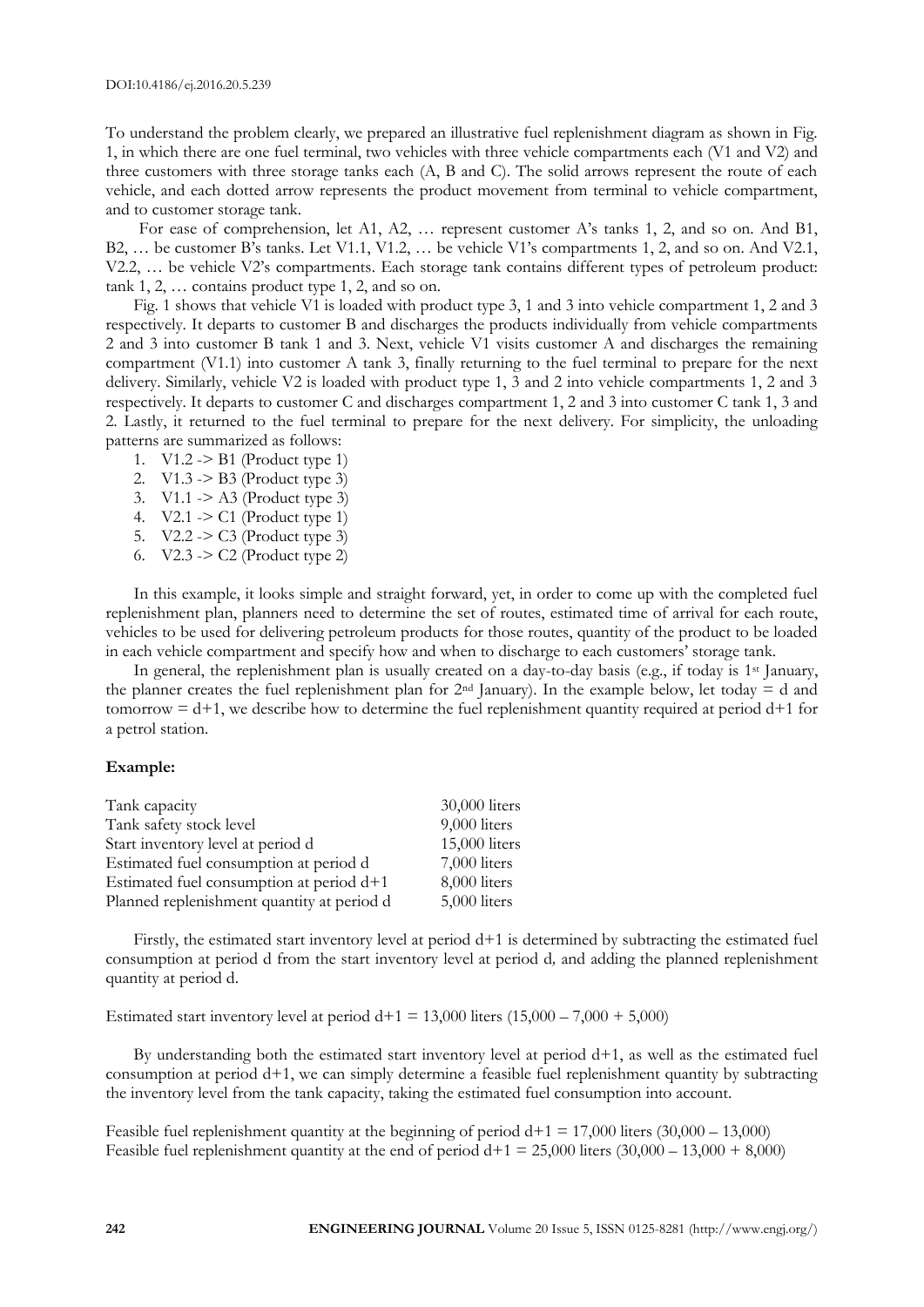To understand the problem clearly, we prepared an illustrative fuel replenishment diagram as shown in Fig. 1, in which there are one fuel terminal, two vehicles with three vehicle compartments each (V1 and V2) and three customers with three storage tanks each (A, B and C). The solid arrows represent the route of each vehicle, and each dotted arrow represents the product movement from terminal to vehicle compartment, and to customer storage tank.

For ease of comprehension, let A1, A2, ... represent customer A's tanks 1, 2, and so on. And B1, B2, … be customer B's tanks. Let V1.1, V1.2, … be vehicle V1's compartments 1, 2, and so on. And V2.1, V2.2, … be vehicle V2's compartments. Each storage tank contains different types of petroleum product: tank 1, 2, … contains product type 1, 2, and so on.

Fig. 1 shows that vehicle V1 is loaded with product type 3, 1 and 3 into vehicle compartment 1, 2 and 3 respectively. It departs to customer B and discharges the products individually from vehicle compartments 2 and 3 into customer B tank 1 and 3. Next, vehicle V1 visits customer A and discharges the remaining compartment (V1.1) into customer A tank 3, finally returning to the fuel terminal to prepare for the next delivery. Similarly, vehicle V2 is loaded with product type 1, 3 and 2 into vehicle compartments 1, 2 and 3 respectively. It departs to customer C and discharges compartment 1, 2 and 3 into customer C tank 1, 3 and 2. Lastly, it returned to the fuel terminal to prepare for the next delivery. For simplicity, the unloading patterns are summarized as follows:

- 1. V1.2 -> B1 (Product type 1)
- 2. V1.3 -> B3 (Product type 3)
- 3. V1.1 -> A3 (Product type 3)
- 4. V2.1 -> C1 (Product type 1)
- 5. V2.2 -> C3 (Product type 3)
- 6. V2.3 -> C2 (Product type 2)

In this example, it looks simple and straight forward, yet, in order to come up with the completed fuel replenishment plan, planners need to determine the set of routes, estimated time of arrival for each route, vehicles to be used for delivering petroleum products for those routes, quantity of the product to be loaded in each vehicle compartment and specify how and when to discharge to each customers' storage tank.

In general, the replenishment plan is usually created on a day-to-day basis (e.g., if today is 1<sup>st</sup> January, the planner creates the fuel replenishment plan for  $2<sup>nd</sup>$  January). In the example below, let today = d and tomorrow  $= d+1$ , we describe how to determine the fuel replenishment quantity required at period  $d+1$  for a petrol station.

#### **Example:**

| Tank capacity                              | 30,000 liters |
|--------------------------------------------|---------------|
| Tank safety stock level                    | 9,000 liters  |
| Start inventory level at period d          | 15,000 liters |
| Estimated fuel consumption at period d     | 7,000 liters  |
| Estimated fuel consumption at period $d+1$ | 8,000 liters  |
| Planned replenishment quantity at period d | 5,000 liters  |

Firstly, the estimated start inventory level at period d+1 is determined by subtracting the estimated fuel consumption at period d from the start inventory level at period d*,* and adding the planned replenishment quantity at period d.

Estimated start inventory level at period  $d+1 = 13,000$  liters  $(15,000 - 7,000 + 5,000)$ 

By understanding both the estimated start inventory level at period d+1, as well as the estimated fuel consumption at period d+1, we can simply determine a feasible fuel replenishment quantity by subtracting the inventory level from the tank capacity, taking the estimated fuel consumption into account.

Feasible fuel replenishment quantity at the beginning of period  $d+1 = 17,000$  liters (30,000 – 13,000) Feasible fuel replenishment quantity at the end of period  $d+1 = 25{,}000$  liters  $(30{,}000 - 13{,}000 + 8{,}000)$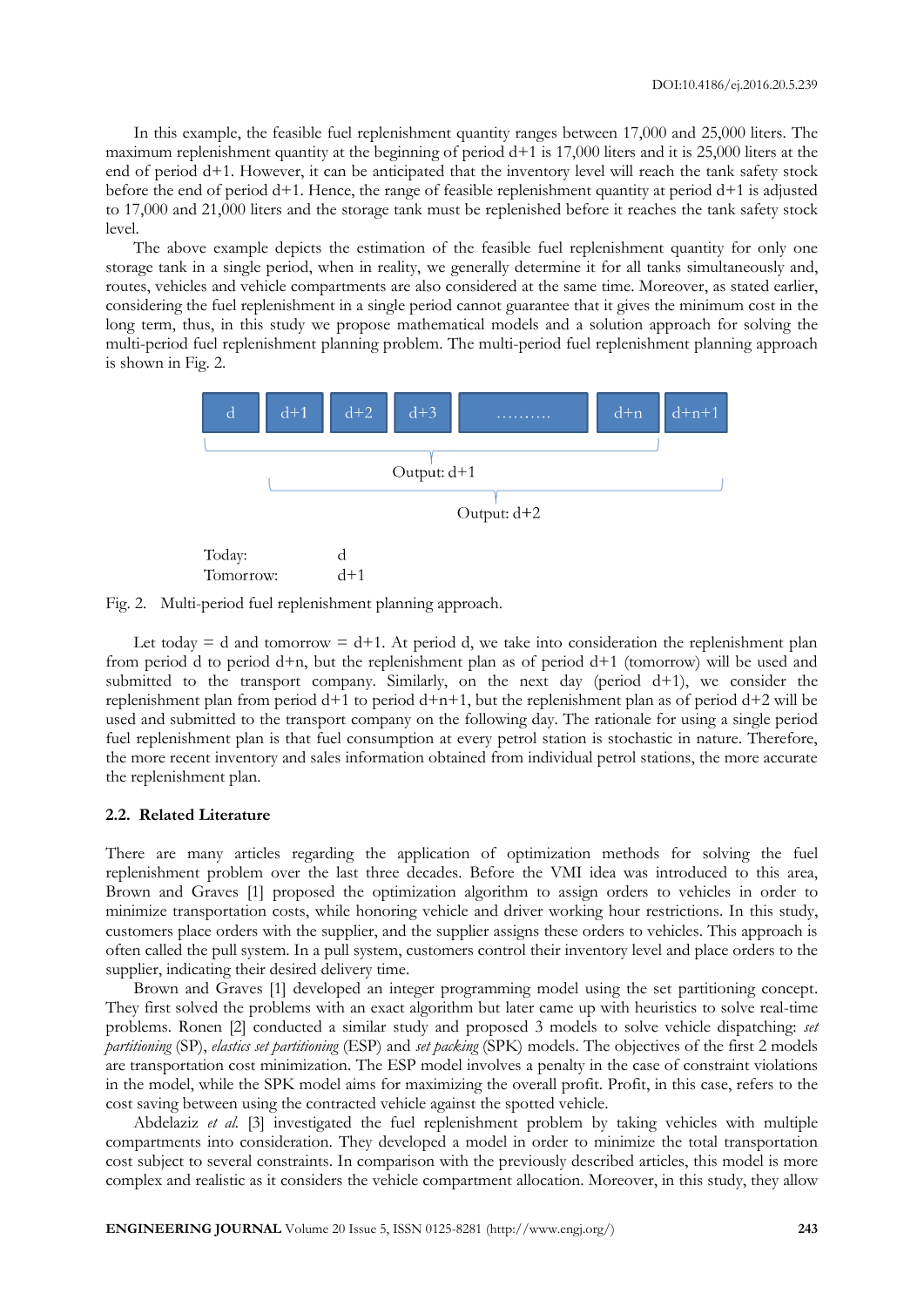In this example, the feasible fuel replenishment quantity ranges between 17,000 and 25,000 liters. The maximum replenishment quantity at the beginning of period d+1 is 17,000 liters and it is 25,000 liters at the end of period d+1. However, it can be anticipated that the inventory level will reach the tank safety stock before the end of period d+1. Hence, the range of feasible replenishment quantity at period d+1 is adjusted to 17,000 and 21,000 liters and the storage tank must be replenished before it reaches the tank safety stock level.

The above example depicts the estimation of the feasible fuel replenishment quantity for only one storage tank in a single period, when in reality, we generally determine it for all tanks simultaneously and, routes, vehicles and vehicle compartments are also considered at the same time. Moreover, as stated earlier, considering the fuel replenishment in a single period cannot guarantee that it gives the minimum cost in the long term, thus, in this study we propose mathematical models and a solution approach for solving the multi-period fuel replenishment planning problem. The multi-period fuel replenishment planning approach is shown in Fig. 2.



Fig. 2. Multi-period fuel replenishment planning approach.

Let today  $= d$  and tomorrow  $= d+1$ . At period d, we take into consideration the replenishment plan from period d to period  $d+n$ , but the replenishment plan as of period  $d+1$  (tomorrow) will be used and submitted to the transport company. Similarly, on the next day (period d+1), we consider the replenishment plan from period  $d+1$  to period  $d+n+1$ , but the replenishment plan as of period  $d+2$  will be used and submitted to the transport company on the following day. The rationale for using a single period fuel replenishment plan is that fuel consumption at every petrol station is stochastic in nature. Therefore, the more recent inventory and sales information obtained from individual petrol stations, the more accurate the replenishment plan.

#### **2.2. Related Literature**

There are many articles regarding the application of optimization methods for solving the fuel replenishment problem over the last three decades. Before the VMI idea was introduced to this area, Brown and Graves [1] proposed the optimization algorithm to assign orders to vehicles in order to minimize transportation costs, while honoring vehicle and driver working hour restrictions. In this study, customers place orders with the supplier, and the supplier assigns these orders to vehicles. This approach is often called the pull system. In a pull system, customers control their inventory level and place orders to the supplier, indicating their desired delivery time.

Brown and Graves [1] developed an integer programming model using the set partitioning concept. They first solved the problems with an exact algorithm but later came up with heuristics to solve real-time problems. Ronen [2] conducted a similar study and proposed 3 models to solve vehicle dispatching: *set partitioning* (SP), *elastics set partitioning* (ESP) and *set packing* (SPK) models. The objectives of the first 2 models are transportation cost minimization. The ESP model involves a penalty in the case of constraint violations in the model, while the SPK model aims for maximizing the overall profit. Profit, in this case, refers to the cost saving between using the contracted vehicle against the spotted vehicle.

Abdelaziz *et al.* [3] investigated the fuel replenishment problem by taking vehicles with multiple compartments into consideration. They developed a model in order to minimize the total transportation cost subject to several constraints. In comparison with the previously described articles, this model is more complex and realistic as it considers the vehicle compartment allocation. Moreover, in this study, they allow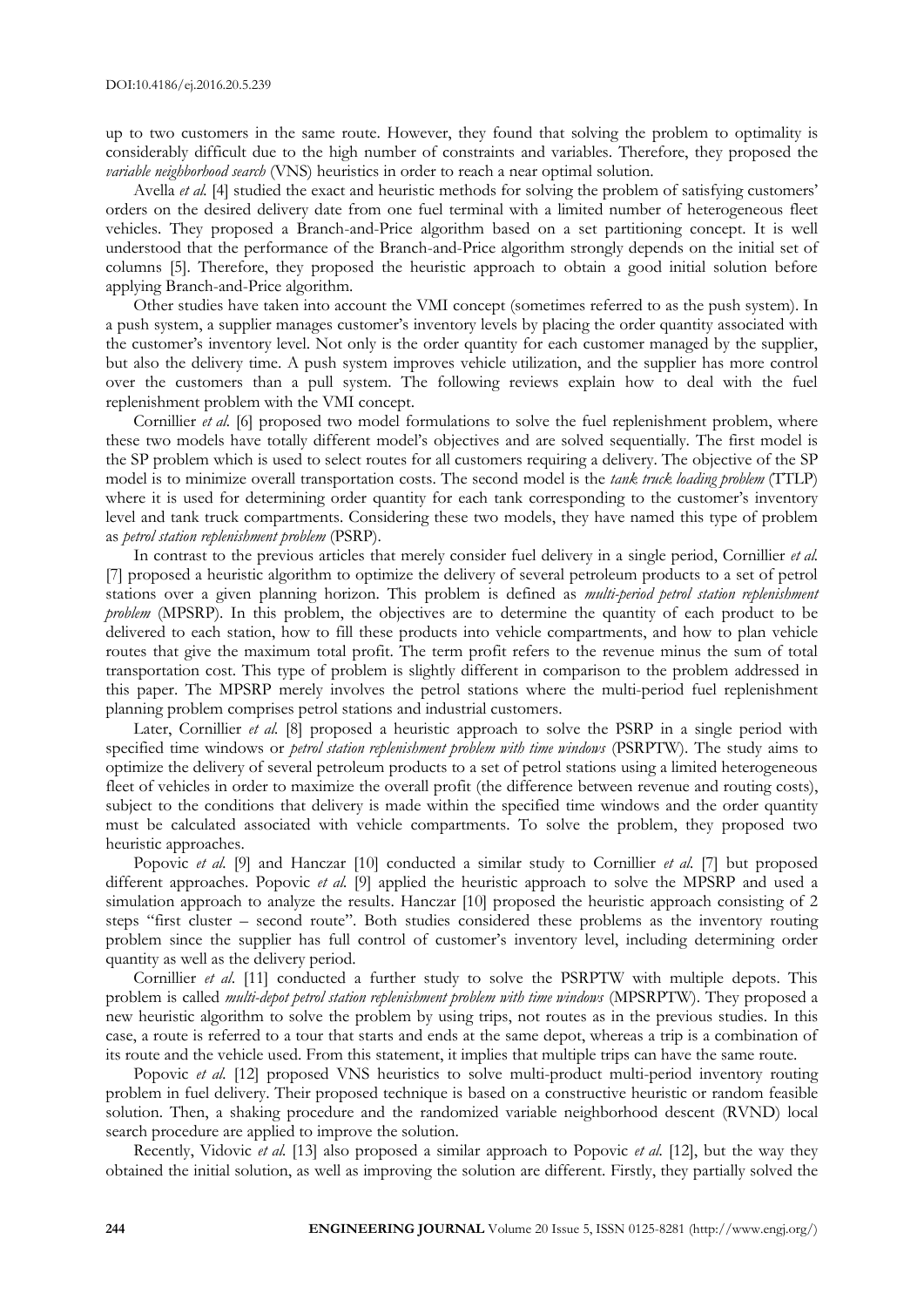up to two customers in the same route. However, they found that solving the problem to optimality is considerably difficult due to the high number of constraints and variables. Therefore, they proposed the *variable neighborhood search* (VNS) heuristics in order to reach a near optimal solution.

Avella *et al.* [4] studied the exact and heuristic methods for solving the problem of satisfying customers' orders on the desired delivery date from one fuel terminal with a limited number of heterogeneous fleet vehicles. They proposed a Branch-and-Price algorithm based on a set partitioning concept. It is well understood that the performance of the Branch-and-Price algorithm strongly depends on the initial set of columns [5]. Therefore, they proposed the heuristic approach to obtain a good initial solution before applying Branch-and-Price algorithm.

Other studies have taken into account the VMI concept (sometimes referred to as the push system). In a push system, a supplier manages customer's inventory levels by placing the order quantity associated with the customer's inventory level. Not only is the order quantity for each customer managed by the supplier, but also the delivery time. A push system improves vehicle utilization, and the supplier has more control over the customers than a pull system. The following reviews explain how to deal with the fuel replenishment problem with the VMI concept.

Cornillier *et al.* [6] proposed two model formulations to solve the fuel replenishment problem, where these two models have totally different model's objectives and are solved sequentially. The first model is the SP problem which is used to select routes for all customers requiring a delivery. The objective of the SP model is to minimize overall transportation costs. The second model is the *tank truck loading problem* (TTLP) where it is used for determining order quantity for each tank corresponding to the customer's inventory level and tank truck compartments. Considering these two models, they have named this type of problem as *petrol station replenishment problem* (PSRP).

In contrast to the previous articles that merely consider fuel delivery in a single period, Cornillier *et al.* [7] proposed a heuristic algorithm to optimize the delivery of several petroleum products to a set of petrol stations over a given planning horizon. This problem is defined as *multi-period petrol station replenishment problem* (MPSRP). In this problem, the objectives are to determine the quantity of each product to be delivered to each station, how to fill these products into vehicle compartments, and how to plan vehicle routes that give the maximum total profit. The term profit refers to the revenue minus the sum of total transportation cost. This type of problem is slightly different in comparison to the problem addressed in this paper. The MPSRP merely involves the petrol stations where the multi-period fuel replenishment planning problem comprises petrol stations and industrial customers.

Later, Cornillier *et al.* [8] proposed a heuristic approach to solve the PSRP in a single period with specified time windows or *petrol station replenishment problem with time windows* (PSRPTW). The study aims to optimize the delivery of several petroleum products to a set of petrol stations using a limited heterogeneous fleet of vehicles in order to maximize the overall profit (the difference between revenue and routing costs), subject to the conditions that delivery is made within the specified time windows and the order quantity must be calculated associated with vehicle compartments. To solve the problem, they proposed two heuristic approaches.

Popovic *et al.* [9] and Hanczar [10] conducted a similar study to Cornillier *et al.* [7] but proposed different approaches. Popovic *et al.* [9] applied the heuristic approach to solve the MPSRP and used a simulation approach to analyze the results. Hanczar [10] proposed the heuristic approach consisting of 2 steps "first cluster – second route". Both studies considered these problems as the inventory routing problem since the supplier has full control of customer's inventory level, including determining order quantity as well as the delivery period.

Cornillier *et al*. [11] conducted a further study to solve the PSRPTW with multiple depots. This problem is called *multi-depot petrol station replenishment problem with time windows* (MPSRPTW). They proposed a new heuristic algorithm to solve the problem by using trips, not routes as in the previous studies. In this case, a route is referred to a tour that starts and ends at the same depot, whereas a trip is a combination of its route and the vehicle used. From this statement, it implies that multiple trips can have the same route.

Popovic *et al.* [12] proposed VNS heuristics to solve multi-product multi-period inventory routing problem in fuel delivery. Their proposed technique is based on a constructive heuristic or random feasible solution. Then, a shaking procedure and the randomized variable neighborhood descent (RVND) local search procedure are applied to improve the solution.

Recently, Vidovic *et al.* [13] also proposed a similar approach to Popovic *et al.* [12], but the way they obtained the initial solution, as well as improving the solution are different. Firstly, they partially solved the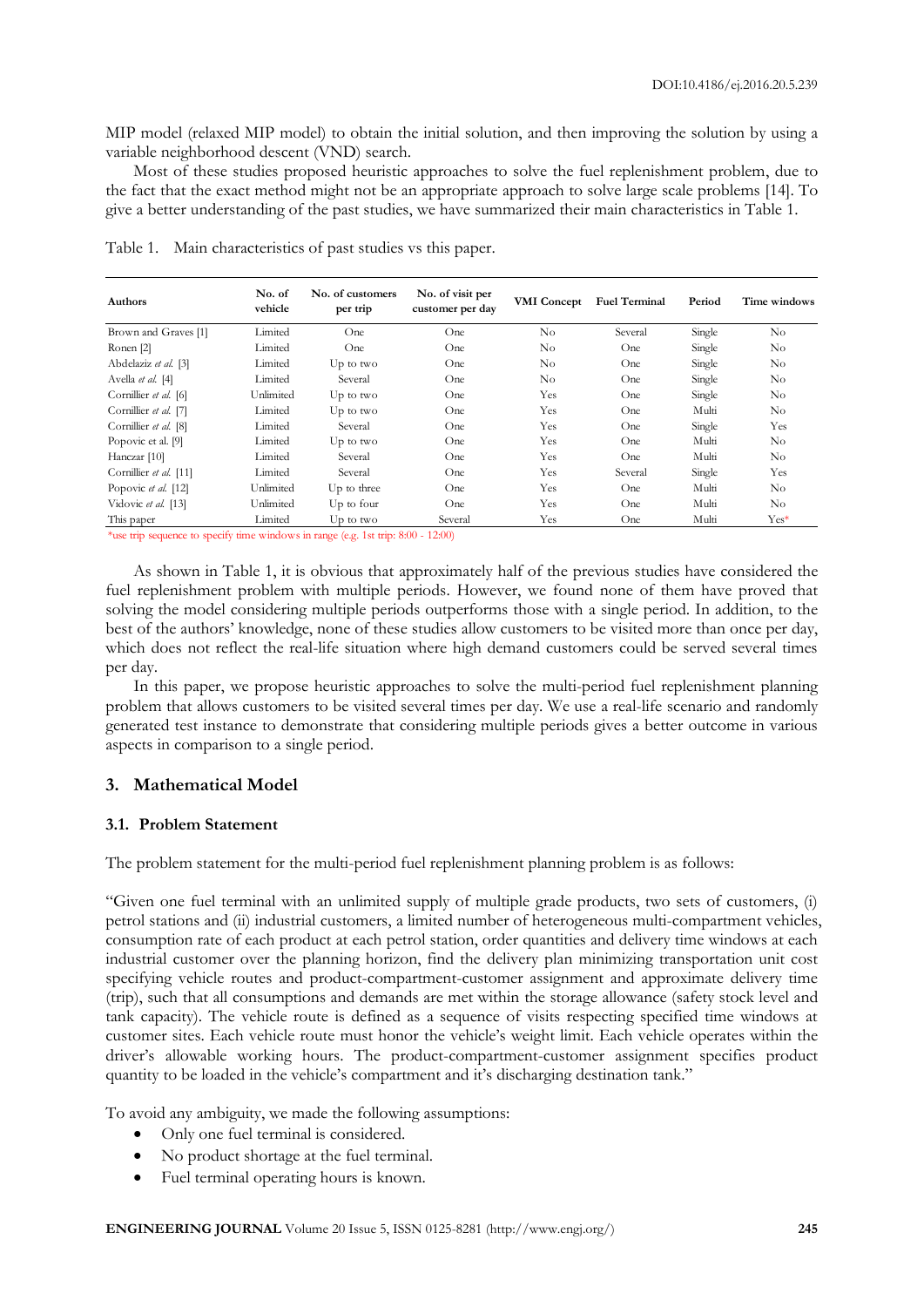MIP model (relaxed MIP model) to obtain the initial solution, and then improving the solution by using a variable neighborhood descent (VND) search.

Most of these studies proposed heuristic approaches to solve the fuel replenishment problem, due to the fact that the exact method might not be an appropriate approach to solve large scale problems [14]. To give a better understanding of the past studies, we have summarized their main characteristics in Table 1.

| Authors                | No. of<br>vehicle | No. of customers<br>per trip | No. of visit per<br>customer per day | <b>VMI</b> Concept | <b>Fuel Terminal</b> | Period | Time windows |
|------------------------|-------------------|------------------------------|--------------------------------------|--------------------|----------------------|--------|--------------|
| Brown and Graves [1]   | Limited           | One                          | One                                  | No                 | Several              | Single | No           |
| Ronen [2]              | Limited           | One                          | One                                  | No                 | One                  | Single | $\rm No$     |
| Abdelaziz et al. [3]   | Limited           | $Up$ to two                  | One                                  | $\rm No$           | One                  | Single | $\rm No$     |
| Avella et al. [4]      | Limited           | Several                      | One                                  | No                 | One                  | Single | No           |
| Cornillier et al. [6]  | Unlimited         | $Up$ to two                  | One                                  | Yes                | One                  | Single | $\rm No$     |
| Cornillier et al. [7]  | Limited           | $Up$ to two                  | One                                  | Yes                | One                  | Multi  | No           |
| Cornillier et al. [8]  | Limited           | Several                      | One                                  | Yes                | One                  | Single | Yes          |
| Popovic et al. [9]     | Limited           | $Up$ to two                  | One                                  | Yes                | One                  | Multi  | $\rm No$     |
| Hanczar [10]           | Limited           | Several                      | One                                  | Yes                | One                  | Multi  | $\rm No$     |
| Cornillier et al. [11] | Limited           | Several                      | One                                  | Yes                | Several              | Single | Yes          |
| Popovic et al. [12]    | Unlimited         | Up to three                  | One                                  | Yes                | One                  | Multi  | No           |
| Vidovic et al. [13]    | Unlimited         | $Up$ to four                 | One                                  | Yes                | One                  | Multi  | $\rm No$     |
| This paper             | Limited           | $Up$ to two                  | Several                              | Yes                | One                  | Multi  | Yes*         |

Table 1. Main characteristics of past studies vs this paper.

\*use trip sequence to specify time windows in range (e.g. 1st trip: 8:00 - 12:00)

As shown in Table 1, it is obvious that approximately half of the previous studies have considered the fuel replenishment problem with multiple periods. However, we found none of them have proved that solving the model considering multiple periods outperforms those with a single period. In addition, to the best of the authors' knowledge, none of these studies allow customers to be visited more than once per day, which does not reflect the real-life situation where high demand customers could be served several times per day.

In this paper, we propose heuristic approaches to solve the multi-period fuel replenishment planning problem that allows customers to be visited several times per day. We use a real-life scenario and randomly generated test instance to demonstrate that considering multiple periods gives a better outcome in various aspects in comparison to a single period.

# **3. Mathematical Model**

# **3.1. Problem Statement**

The problem statement for the multi-period fuel replenishment planning problem is as follows:

"Given one fuel terminal with an unlimited supply of multiple grade products, two sets of customers, (i) petrol stations and (ii) industrial customers, a limited number of heterogeneous multi-compartment vehicles, consumption rate of each product at each petrol station, order quantities and delivery time windows at each industrial customer over the planning horizon, find the delivery plan minimizing transportation unit cost specifying vehicle routes and product-compartment-customer assignment and approximate delivery time (trip), such that all consumptions and demands are met within the storage allowance (safety stock level and tank capacity). The vehicle route is defined as a sequence of visits respecting specified time windows at customer sites. Each vehicle route must honor the vehicle's weight limit. Each vehicle operates within the driver's allowable working hours. The product-compartment-customer assignment specifies product quantity to be loaded in the vehicle's compartment and it's discharging destination tank."

To avoid any ambiguity, we made the following assumptions:

- Only one fuel terminal is considered.
- No product shortage at the fuel terminal.
- Fuel terminal operating hours is known.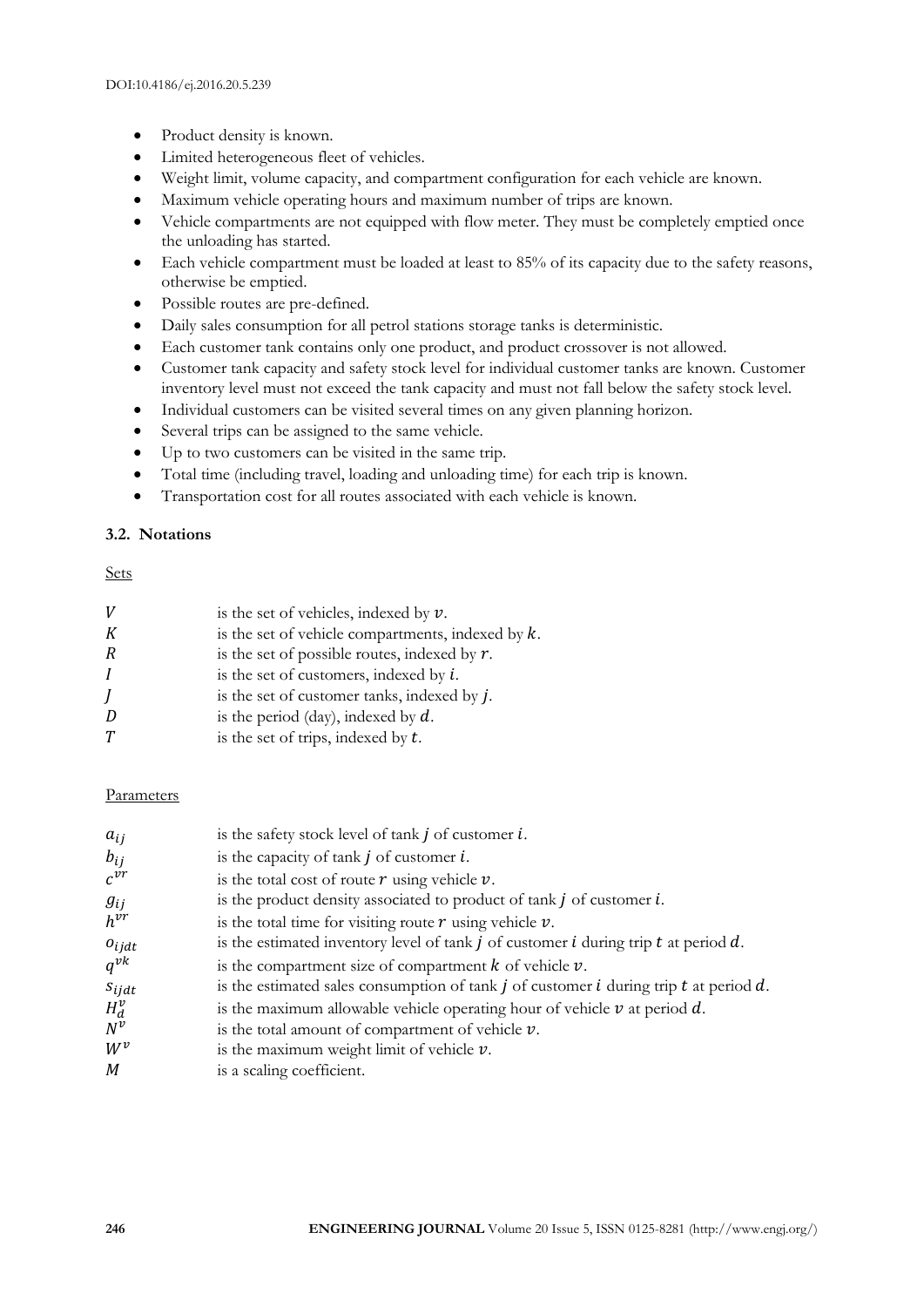- Product density is known.
- Limited heterogeneous fleet of vehicles.
- Weight limit, volume capacity, and compartment configuration for each vehicle are known.
- Maximum vehicle operating hours and maximum number of trips are known.
- Vehicle compartments are not equipped with flow meter. They must be completely emptied once the unloading has started.
- Each vehicle compartment must be loaded at least to 85% of its capacity due to the safety reasons, otherwise be emptied.
- Possible routes are pre-defined.
- Daily sales consumption for all petrol stations storage tanks is deterministic.
- Each customer tank contains only one product, and product crossover is not allowed.
- Customer tank capacity and safety stock level for individual customer tanks are known. Customer inventory level must not exceed the tank capacity and must not fall below the safety stock level.
- Individual customers can be visited several times on any given planning horizon.
- Several trips can be assigned to the same vehicle.
- Up to two customers can be visited in the same trip.
- Total time (including travel, loading and unloading time) for each trip is known.
- Transportation cost for all routes associated with each vehicle is known.

# **3.2. Notations**

Sets

| V | is the set of vehicles, indexed by $v$ .             |
|---|------------------------------------------------------|
| К | is the set of vehicle compartments, indexed by $k$ . |
| R | is the set of possible routes, indexed by $r$ .      |
| I | is the set of customers, indexed by $i$ .            |
| J | is the set of customer tanks, indexed by $j$ .       |
| D | is the period (day), indexed by $d$ .                |
| T | is the set of trips, indexed by $t$ .                |

#### Parameters

| $a_{ij}$   | is the safety stock level of tank $j$ of customer $i$ .                                        |
|------------|------------------------------------------------------------------------------------------------|
| $b_{ij}$   | is the capacity of tank $j$ of customer $i$ .                                                  |
| $c^{vr}$   | is the total cost of route $r$ using vehicle $v$ .                                             |
| $g_{ij}$   | is the product density associated to product of $t$ ank $j$ of customer $i$ .                  |
| $h^{vr}$   | is the total time for visiting route $r$ using vehicle $v$ .                                   |
| $o_{ijdt}$ | is the estimated inventory level of tank $j$ of customer $i$ during trip $t$ at period $d$ .   |
| $q^{vk}$   | is the compartment size of compartment $k$ of vehicle $\nu$ .                                  |
| $S_{ij}$   | is the estimated sales consumption of tank $j$ of customer $i$ during trip $t$ at period $d$ . |
| $H_d^v$    | is the maximum allowable vehicle operating hour of vehicle $\nu$ at period $d$ .               |
| $N^v$      | is the total amount of compartment of vehicle $\nu$ .                                          |
| $W^v$      | is the maximum weight limit of vehicle $\nu$ .                                                 |
| M          | is a scaling coefficient.                                                                      |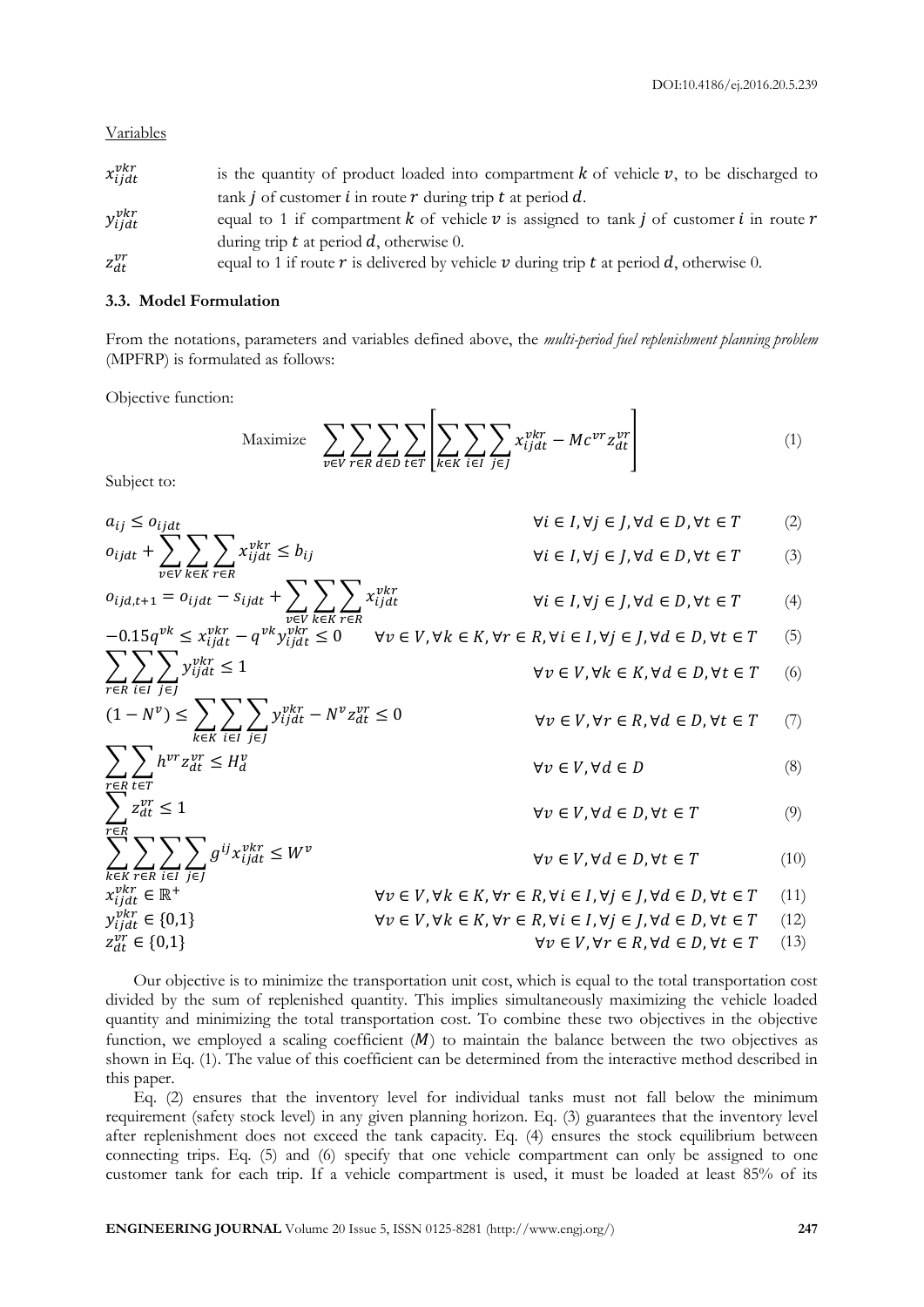Variables

| $x_{ijdt}^{vkr}$ | is the quantity of product loaded into compartment $k$ of vehicle $v$ , to be discharged to      |
|------------------|--------------------------------------------------------------------------------------------------|
|                  | tank <i>j</i> of customer <i>i</i> in route $r$ during trip $t$ at period $d$ .                  |
| $y_{ijdt}^{vkr}$ | equal to 1 if compartment k of vehicle v is assigned to tank j of customer i in route r          |
|                  | during trip $t$ at period $d$ , otherwise 0.                                                     |
| $z_{dt}^{vr}$    | equal to 1 if route $r$ is delivered by vehicle $v$ during trip $t$ at period $d$ , otherwise 0. |

#### **3.3. Model Formulation**

From the notations, parameters and variables defined above, the *multi-period fuel replenishment planning problem* (MPFRP) is formulated as follows:

Objective function:

Maximize 
$$
\sum_{v \in V} \sum_{r \in R} \sum_{d \in D} \sum_{t \in T} \left[ \sum_{k \in K} \sum_{i \in I} \sum_{j \in J} x_{ij}^{vkr} - Mc^{vr} z_{dt}^{vr} \right]
$$
 (1)

Subject to:

$$
a_{ij} \leq o_{ijat} + \sum_{v \in V} \sum_{k \in K} \sum_{r \in R} x_{ijat}^{vkr} \leq b_{ij} \qquad \forall i \in I, \forall j \in J, \forall d \in D, \forall t \in T \qquad (2)
$$
\n
$$
o_{ijat+1} = o_{ijat} - s_{ijat} + \sum_{v \in V} \sum_{k \in K} \sum_{r \in R} x_{ijat}^{vkr} \qquad \forall i \in I, \forall j \in J, \forall d \in D, \forall t \in T \qquad (3)
$$
\n
$$
-0.15q^{vk} \leq x_{ijat}^{vkr} - q^{vk} y_{ijat}^{vkr} \leq 0 \qquad \forall v \in V, \forall k \in K, \forall r \in R, \forall i \in I, \forall j \in J, \forall d \in D, \forall t \in T \qquad (5)
$$
\n
$$
\sum_{r \in R} \sum_{i \in I} \sum_{j \in J} y_{ijat}^{vkr} \leq 1 \qquad \forall v \in V, \forall k \in K, \forall d \in D, \forall t \in T \qquad (6)
$$
\n
$$
(1 - N^v) \leq \sum_{k \in K} \sum_{i \in I} \sum_{j \in J} y_{ijat}^{vkr} - N^v z_{dt}^{vr} \leq 0 \qquad \forall v \in V, \forall r \in R, \forall d \in D, \forall t \in T \qquad (7)
$$
\n
$$
\sum_{r \in R} \sum_{i \in T} \sum_{j \in J} g^{ij} x_{ijat}^{vkr} \leq W^v \qquad \forall v \in V, \forall d \in D, \forall t \in T \qquad (9)
$$
\n
$$
\sum_{k \in K} \sum_{r \in R} \sum_{i \in I} \sum_{j \in J} g^{ij} x_{ijat}^{vkr} \leq W^v \qquad \forall v \in V, \forall d \in D, \forall t \in T \qquad (10)
$$
\n
$$
\forall v \in V, \forall d \in E, \forall r \in R, \forall i \in I, \forall j \in J, \forall d \in D, \forall t \in T \qquad (11)
$$
\n
$$
\sum_{k \in K} \sum_{r \in R} \sum_{i \in I} \sum_{j \in J} g^{ij} x_{ijat}
$$

Our objective is to minimize the transportation unit cost, which is equal to the total transportation cost divided by the sum of replenished quantity. This implies simultaneously maximizing the vehicle loaded quantity and minimizing the total transportation cost. To combine these two objectives in the objective function, we employed a scaling coefficient  $(M)$  to maintain the balance between the two objectives as shown in Eq. (1). The value of this coefficient can be determined from the interactive method described in this paper.

Eq. (2) ensures that the inventory level for individual tanks must not fall below the minimum requirement (safety stock level) in any given planning horizon. Eq. (3) guarantees that the inventory level after replenishment does not exceed the tank capacity. Eq. (4) ensures the stock equilibrium between connecting trips. Eq. (5) and (6) specify that one vehicle compartment can only be assigned to one customer tank for each trip. If a vehicle compartment is used, it must be loaded at least 85% of its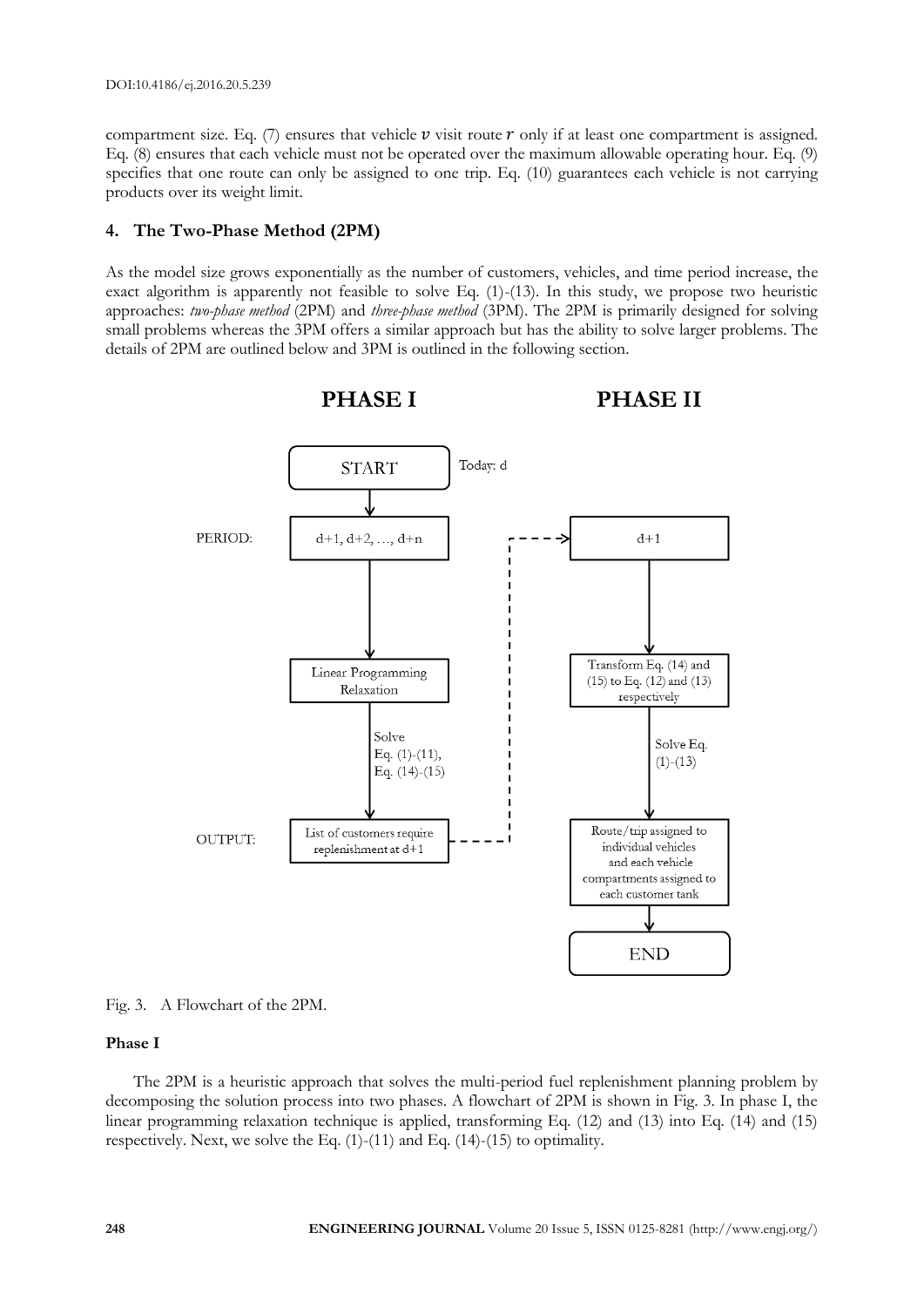compartment size. Eq. (7) ensures that vehicle v visit route r only if at least one compartment is assigned. Eq. (8) ensures that each vehicle must not be operated over the maximum allowable operating hour. Eq. (9) specifies that one route can only be assigned to one trip. Eq. (10) guarantees each vehicle is not carrying products over its weight limit.

# **4. The Two-Phase Method (2PM)**

As the model size grows exponentially as the number of customers, vehicles, and time period increase, the exact algorithm is apparently not feasible to solve Eq.  $(1)-(13)$ . In this study, we propose two heuristic approaches: *two-phase method* (2PM) and *three-phase method* (3PM). The 2PM is primarily designed for solving small problems whereas the 3PM offers a similar approach but has the ability to solve larger problems. The details of 2PM are outlined below and 3PM is outlined in the following section.





# **Phase I**

The 2PM is a heuristic approach that solves the multi-period fuel replenishment planning problem by decomposing the solution process into two phases. A flowchart of 2PM is shown in Fig. 3. In phase I, the linear programming relaxation technique is applied, transforming Eq. (12) and (13) into Eq. (14) and (15) respectively. Next, we solve the Eq.  $(1)-(11)$  and Eq.  $(14)-(15)$  to optimality.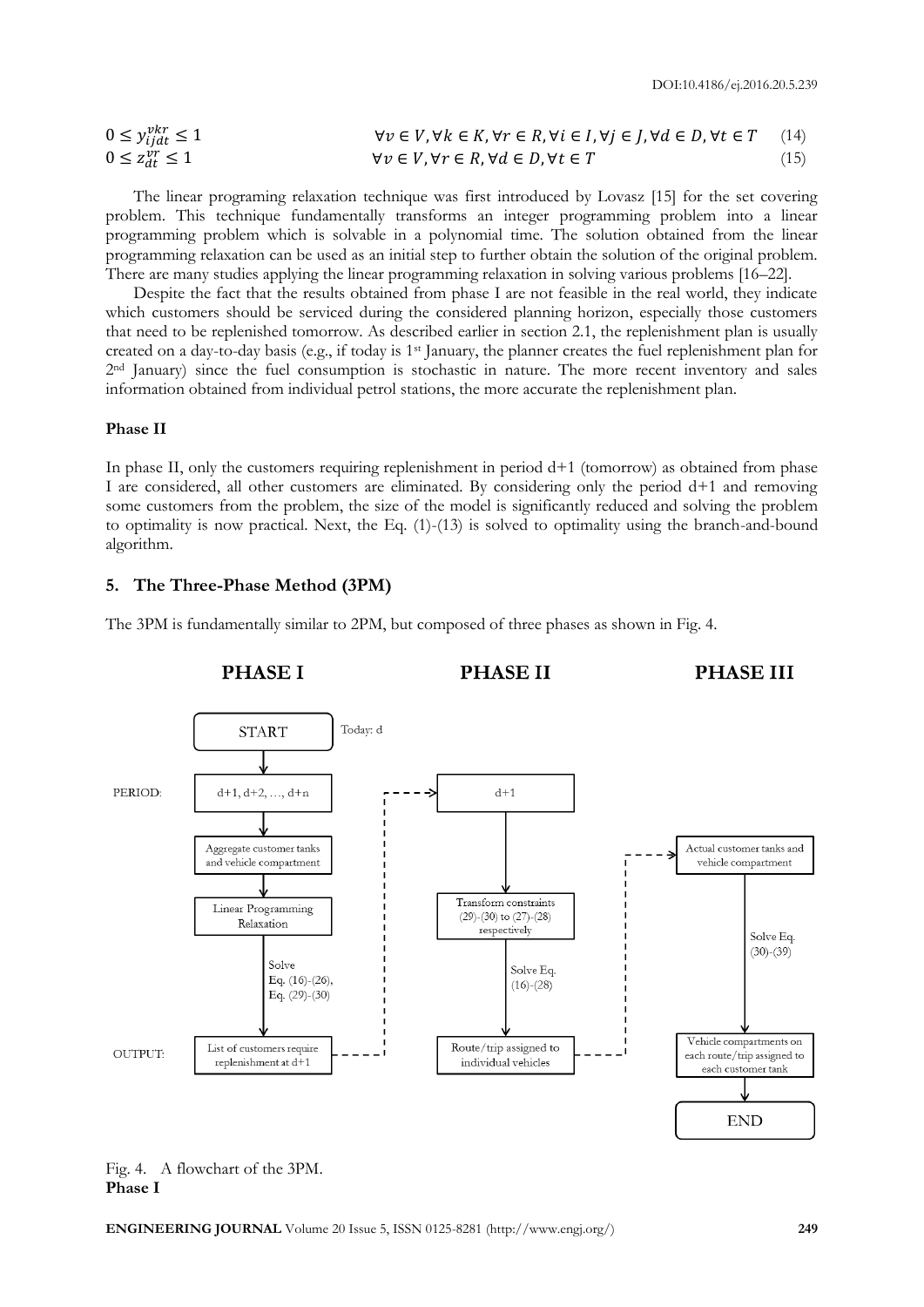$$
0 \le y_{ij}^{vkr} \le 1
$$
  
\n
$$
0 \le y_{ij}^{vkr} \le 1
$$
  
\n
$$
\forall v \in V, \forall k \in K, \forall r \in R, \forall i \in I, \forall j \in J, \forall d \in D, \forall t \in T
$$
  
\n
$$
\forall v \in V, \forall r \in R, \forall d \in D, \forall t \in T
$$
  
\n
$$
(15)
$$

The linear programing relaxation technique was first introduced by Lovasz [15] for the set covering problem. This technique fundamentally transforms an integer programming problem into a linear programming problem which is solvable in a polynomial time. The solution obtained from the linear programming relaxation can be used as an initial step to further obtain the solution of the original problem. There are many studies applying the linear programming relaxation in solving various problems [16–22].

Despite the fact that the results obtained from phase I are not feasible in the real world, they indicate which customers should be serviced during the considered planning horizon, especially those customers that need to be replenished tomorrow. As described earlier in section 2.1, the replenishment plan is usually created on a day-to-day basis (e.g., if today is 1st January, the planner creates the fuel replenishment plan for 2nd January) since the fuel consumption is stochastic in nature. The more recent inventory and sales information obtained from individual petrol stations, the more accurate the replenishment plan.

#### **Phase II**

In phase II, only the customers requiring replenishment in period  $d+1$  (tomorrow) as obtained from phase I are considered, all other customers are eliminated. By considering only the period d+1 and removing some customers from the problem, the size of the model is significantly reduced and solving the problem to optimality is now practical. Next, the Eq. (1)-(13) is solved to optimality using the branch-and-bound algorithm.

# **5. The Three-Phase Method (3PM)**

The 3PM is fundamentally similar to 2PM, but composed of three phases as shown in Fig. 4.



#### Fig. 4. A flowchart of the 3PM. **Phase I**

**ENGINEERING JOURNAL** Volume 20 Issue 5, ISSN 0125-8281 (http://www.engj.org/) **249**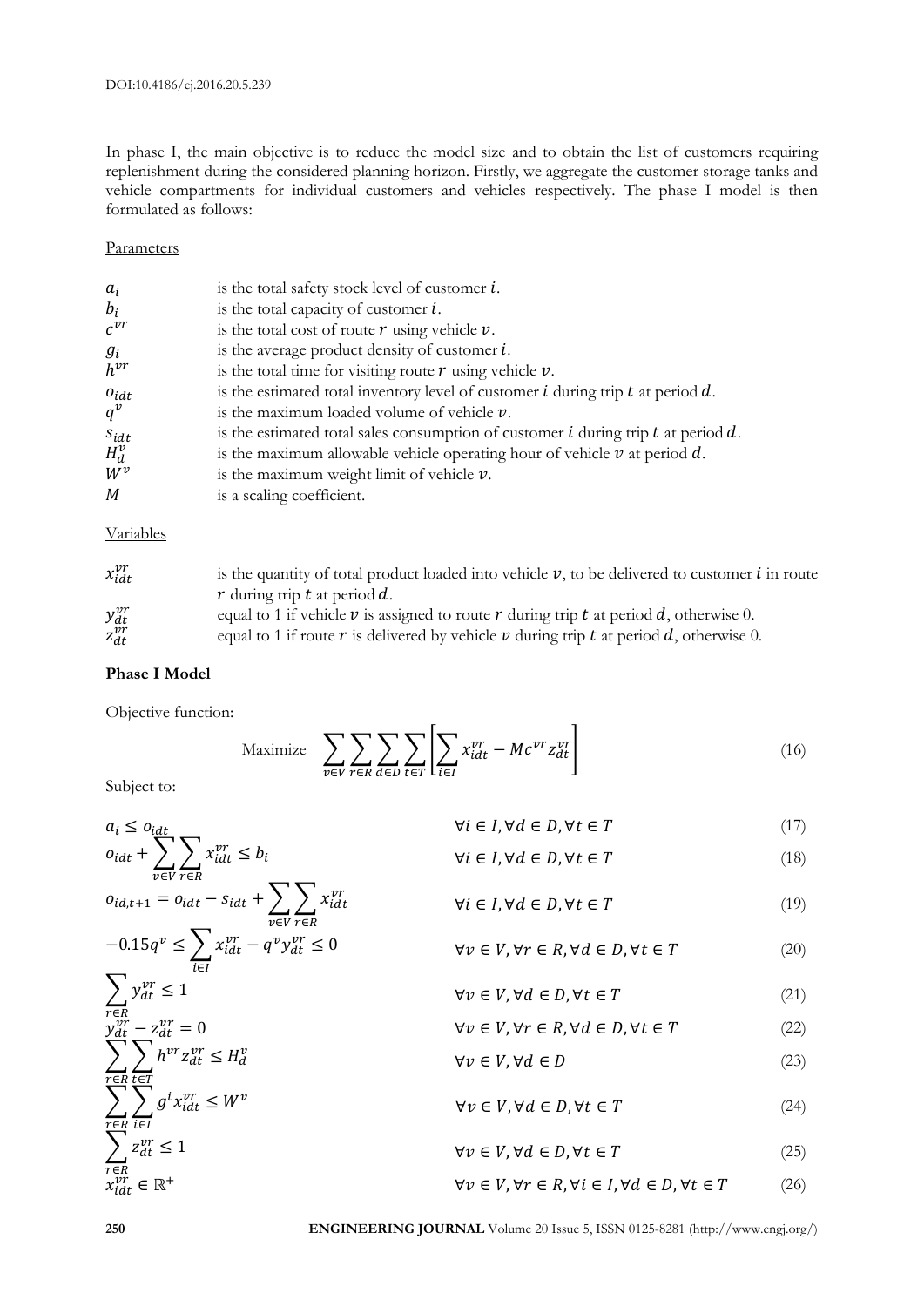In phase I, the main objective is to reduce the model size and to obtain the list of customers requiring replenishment during the considered planning horizon. Firstly, we aggregate the customer storage tanks and vehicle compartments for individual customers and vehicles respectively. The phase I model is then formulated as follows:

#### **Parameters**

| $a_i$     | is the total safety stock level of customer $i$ .                                        |
|-----------|------------------------------------------------------------------------------------------|
| $b_i$     | is the total capacity of customer $i$ .                                                  |
| $c^{vr}$  | is the total cost of route $r$ using vehicle $v$ .                                       |
| $g_i$     | is the average product density of customer $i$ .                                         |
| $h^{vr}$  | is the total time for visiting route $r$ using vehicle $v$ .                             |
| $o_{idt}$ | is the estimated total inventory level of customer $i$ during trip $t$ at period $d$ .   |
| $q^v$     | is the maximum loaded volume of vehicle $\nu$ .                                          |
| $S_{idt}$ | is the estimated total sales consumption of customer $i$ during trip $t$ at period $d$ . |
| $H_d^v$   | is the maximum allowable vehicle operating hour of vehicle $\nu$ at period $d$ .         |
| $W^v$     | is the maximum weight limit of vehicle $\nu$ .                                           |
| M         | is a scaling coefficient.                                                                |

# Variables

| $x_{idt}^{vr}$ | is the quantity of total product loaded into vehicle $v$ , to be delivered to customer i in route<br>r during trip t at period d. |
|----------------|-----------------------------------------------------------------------------------------------------------------------------------|
| $y_{dt}^{vr}$  | equal to 1 if vehicle $\nu$ is assigned to route r during trip t at period d, otherwise 0.                                        |
| $z_{dt}^{vr}$  | equal to 1 if route $r$ is delivered by vehicle $\nu$ during trip $t$ at period $d$ , otherwise 0.                                |

# **Phase I Model**

Objective function:

Maximize 
$$
\sum_{v \in V} \sum_{r \in R} \sum_{d \in D} \sum_{t \in T} \left[ \sum_{i \in I} x_{idt}^{vr} - Mc^{vr} z_{dt}^{vr} \right]
$$
 (16)

Subject to:

 $a_i \leq o_{idt}$  (17)<br> $\forall i \in I, \forall d \in D, \forall t \in T$  (17)

$$
o_{idt} + \sum_{v \in V} \sum_{r \in R} x_{idt}^{vr} \le b_i \qquad \forall i \in I, \forall d \in D, \forall t \in T
$$
\n
$$
o_{id,t+1} = o_{idt} - s_{idt} + \sum \sum_{i} x_{idt}^{vr} \qquad \forall i \in I, \forall d \in D, \forall t \in T
$$
\n
$$
(18)
$$
\n
$$
(19)
$$

$$
-0.15q^{\nu} \le \sum_{i \in I} x_{idt}^{\nu r} - q^{\nu} y_{dt}^{\nu r} \le 0
$$
  

$$
\forall \nu \in V, \forall r \in R, \forall d \in D, \forall t \in T
$$
 (20)

$$
\sum_{\substack{r \in R \\ y_{dt}^{vr} - z_{dt}^{vr} = 0}} y_{dt}^{vr} \le 1
$$
\n
$$
\forall v \in V, \forall d \in D, \forall t \in T
$$
\n
$$
\forall v \in V, \forall r \in R, \forall d \in D, \forall t \in T
$$
\n(21)

$$
- z_{dt}^{vr} = 0
$$
  
\n
$$
\nabla v \in V, \forall r \in R, \forall d \in D, \forall t \in T
$$
  
\n
$$
\nabla v \in V, \forall d \in D
$$
  
\n
$$
\forall v \in V, \forall d \in D
$$
  
\n(22)

$$
\sum_{\substack{r \in R \\ r \in V}}^{\sum_{i \in I}^{\sum_{i \in I}} g^i x_{idt}^{vr} \le W^v \qquad \forall v \in V, \forall d \in D, \forall t \in T
$$
\n
$$
\sum_{\substack{r \in R \\ r \in V, \forall d \in D, \forall t \in T}} (24)
$$

$$
\begin{array}{ll}\n\overline{\epsilon}R\\ \n\overline{\epsilon}R\\ \n\overline{\epsilon}R\\ \n\end{array}
$$
\n
$$
\forall v \in V, \forall r \in R, \forall i \in I, \forall d \in D, \forall t \in T
$$
\n
$$
(26)
$$

∑∑

r

r

 $\frac{\overline{r}}{x}$ 

 $\sum_{d} z_d^v$ 

 $v r - v$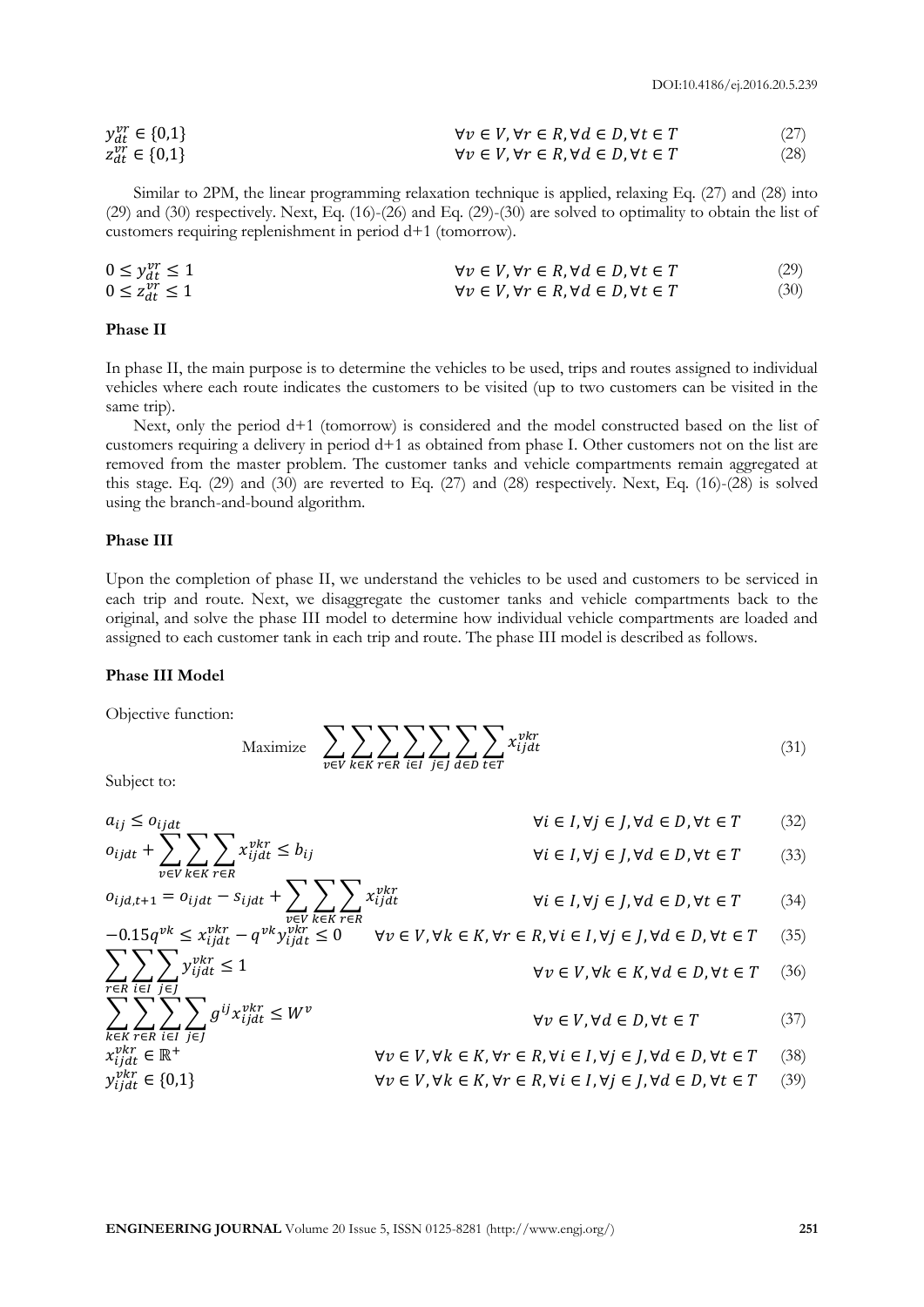$$
\begin{array}{ll}\ny_{dt}^{vr} \in \{0,1\} & \forall v \in V, \forall r \in R, \forall d \in D, \forall t \in T & (27) \\
z_{dt}^{vr} \in \{0,1\} & \forall v \in V, \forall r \in R, \forall d \in D, \forall t \in T & (28)\n\end{array}
$$

Similar to 2PM, the linear programming relaxation technique is applied, relaxing Eq. (27) and (28) into (29) and (30) respectively. Next, Eq. (16)-(26) and Eq. (29)-(30) are solved to optimality to obtain the list of customers requiring replenishment in period d+1 (tomorrow).

$$
0 \le y_{dt}^{vr} \le 1
$$
  
\n
$$
0 \le z_{dt}^{vr} \le 1
$$
  
\n
$$
\forall v \in V, \forall r \in R, \forall d \in D, \forall t \in T
$$
  
\n
$$
\forall v \in V, \forall r \in R, \forall d \in D, \forall t \in T
$$
  
\n(29)  
\n(30)

# **Phase II**

In phase II, the main purpose is to determine the vehicles to be used, trips and routes assigned to individual vehicles where each route indicates the customers to be visited (up to two customers can be visited in the same trip).

Next, only the period d+1 (tomorrow) is considered and the model constructed based on the list of customers requiring a delivery in period d+1 as obtained from phase I. Other customers not on the list are removed from the master problem. The customer tanks and vehicle compartments remain aggregated at this stage. Eq. (29) and (30) are reverted to Eq. (27) and (28) respectively. Next, Eq. (16)-(28) is solved using the branch-and-bound algorithm.

#### **Phase III**

Upon the completion of phase II, we understand the vehicles to be used and customers to be serviced in each trip and route. Next, we disaggregate the customer tanks and vehicle compartments back to the original, and solve the phase III model to determine how individual vehicle compartments are loaded and assigned to each customer tank in each trip and route. The phase III model is described as follows.

#### **Phase III Model**

Objective function:

Maximize 
$$
\sum_{v \in V} \sum_{k \in K} \sum_{r \in R} \sum_{i \in I} \sum_{j \in J} \sum_{d \in D} \sum_{t \in T} x_{ijdt}^{vkr}
$$
 (31)

Subject to:

$$
a_{ij} \leq o_{ijdt} + \sum_{v \in V} \sum_{k \in K} \sum_{r \in R} x_{ijdt}^{vkr} \leq b_{ij}
$$
  
\n
$$
\forall i \in I, \forall j \in J, \forall d \in D, \forall t \in T
$$
 (32)  
\n
$$
\forall i \in I, \forall j \in J, \forall d \in D, \forall t \in T
$$
 (33)

$$
o_{ijd,t+1} = o_{ijdt} - s_{ijdt} + \sum_{v \in V} \sum_{k \in K} \sum_{r \in R} x_{ijdt}^{vkr}
$$
  
\n
$$
-0.15q^{vk} \le x_{ijdt}^{vkr} - q^{vk} y_{ijdt}^{vkr} \le 0 \qquad \forall v \in V, \forall k \in K, \forall r \in R, \forall i \in I, \forall j \in J, \forall d \in D, \forall t \in T
$$
 (34)  
\n(34)  
\n(35)

$$
\sum_{r \in R} \sum_{i \in I} \sum_{j \in J} y_{ijdt}^{pkr} \le 1
$$
\n
$$
\forall v \in V, \forall k \in K, \forall d \in D, \forall t \in T
$$
\n(36)

$$
\sum_{k \in K} \sum_{r \in R} \sum_{i \in I} \sum_{j \in J} g^{ij} x_{ijdt}^{vkr} \le W^v
$$
\n
$$
\forall v \in V, \forall d \in D, \forall t \in T
$$
\n(37)

$$
x_{ijdt}^{vkr} \in \mathbb{R}^+ \qquad \forall v \in V, \forall k \in K, \forall r \in R, \forall i \in I, \forall j \in J, \forall d \in D, \forall t \in T \qquad (38)
$$
  

$$
\forall v \in V, \forall k \in K, \forall r \in R, \forall i \in I, \forall j \in J, \forall d \in D, \forall t \in T \qquad (39)
$$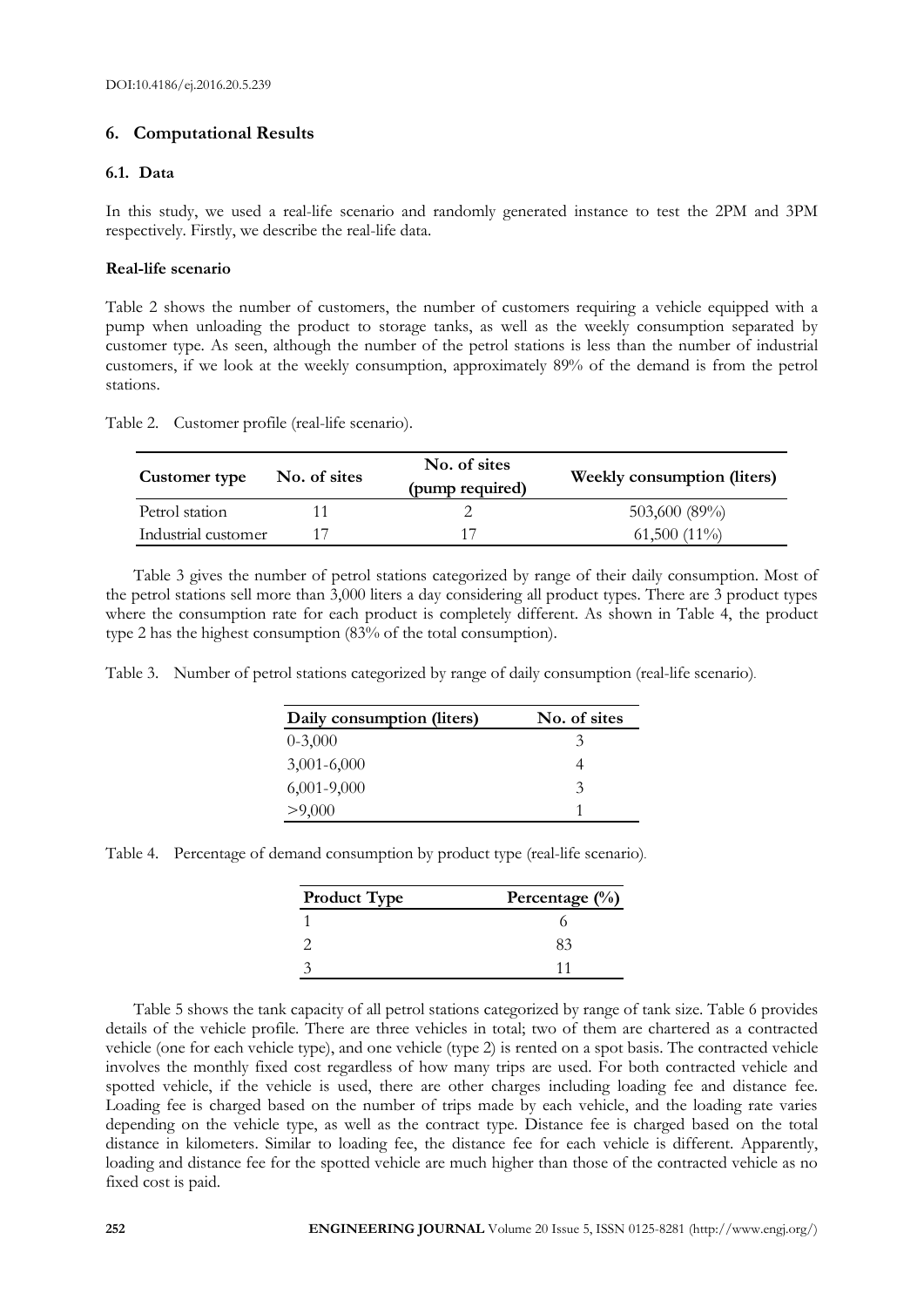# **6. Computational Results**

#### **6.1. Data**

In this study, we used a real-life scenario and randomly generated instance to test the 2PM and 3PM respectively. Firstly, we describe the real-life data.

#### **Real-life scenario**

Table 2 shows the number of customers, the number of customers requiring a vehicle equipped with a pump when unloading the product to storage tanks, as well as the weekly consumption separated by customer type. As seen, although the number of the petrol stations is less than the number of industrial customers, if we look at the weekly consumption, approximately 89% of the demand is from the petrol stations.

Table 2. Customer profile (real-life scenario).

| Customer type       | No. of sites | No. of sites<br>(pump required) | <b>Weekly consumption (liters)</b> |
|---------------------|--------------|---------------------------------|------------------------------------|
| Petrol station      |              |                                 | 503,600 (89%)                      |
| Industrial customer |              |                                 | $61,500(11\%)$                     |

Table 3 gives the number of petrol stations categorized by range of their daily consumption. Most of the petrol stations sell more than 3,000 liters a day considering all product types. There are 3 product types where the consumption rate for each product is completely different. As shown in Table 4, the product type 2 has the highest consumption (83% of the total consumption).

Table 3. Number of petrol stations categorized by range of daily consumption (real-life scenario).

| Daily consumption (liters) | No. of sites |
|----------------------------|--------------|
| $0 - 3,000$                | 3            |
| $3,001-6,000$              |              |
| $6,001-9,000$              | 3            |
| >9,000                     |              |

Table 4. Percentage of demand consumption by product type (real-life scenario).

| <b>Product Type</b> | Percentage $(\% )$ |
|---------------------|--------------------|
|                     |                    |
|                     | २२                 |
|                     |                    |

Table 5 shows the tank capacity of all petrol stations categorized by range of tank size. Table 6 provides details of the vehicle profile. There are three vehicles in total; two of them are chartered as a contracted vehicle (one for each vehicle type), and one vehicle (type 2) is rented on a spot basis. The contracted vehicle involves the monthly fixed cost regardless of how many trips are used. For both contracted vehicle and spotted vehicle, if the vehicle is used, there are other charges including loading fee and distance fee. Loading fee is charged based on the number of trips made by each vehicle, and the loading rate varies depending on the vehicle type, as well as the contract type. Distance fee is charged based on the total distance in kilometers. Similar to loading fee, the distance fee for each vehicle is different. Apparently, loading and distance fee for the spotted vehicle are much higher than those of the contracted vehicle as no fixed cost is paid.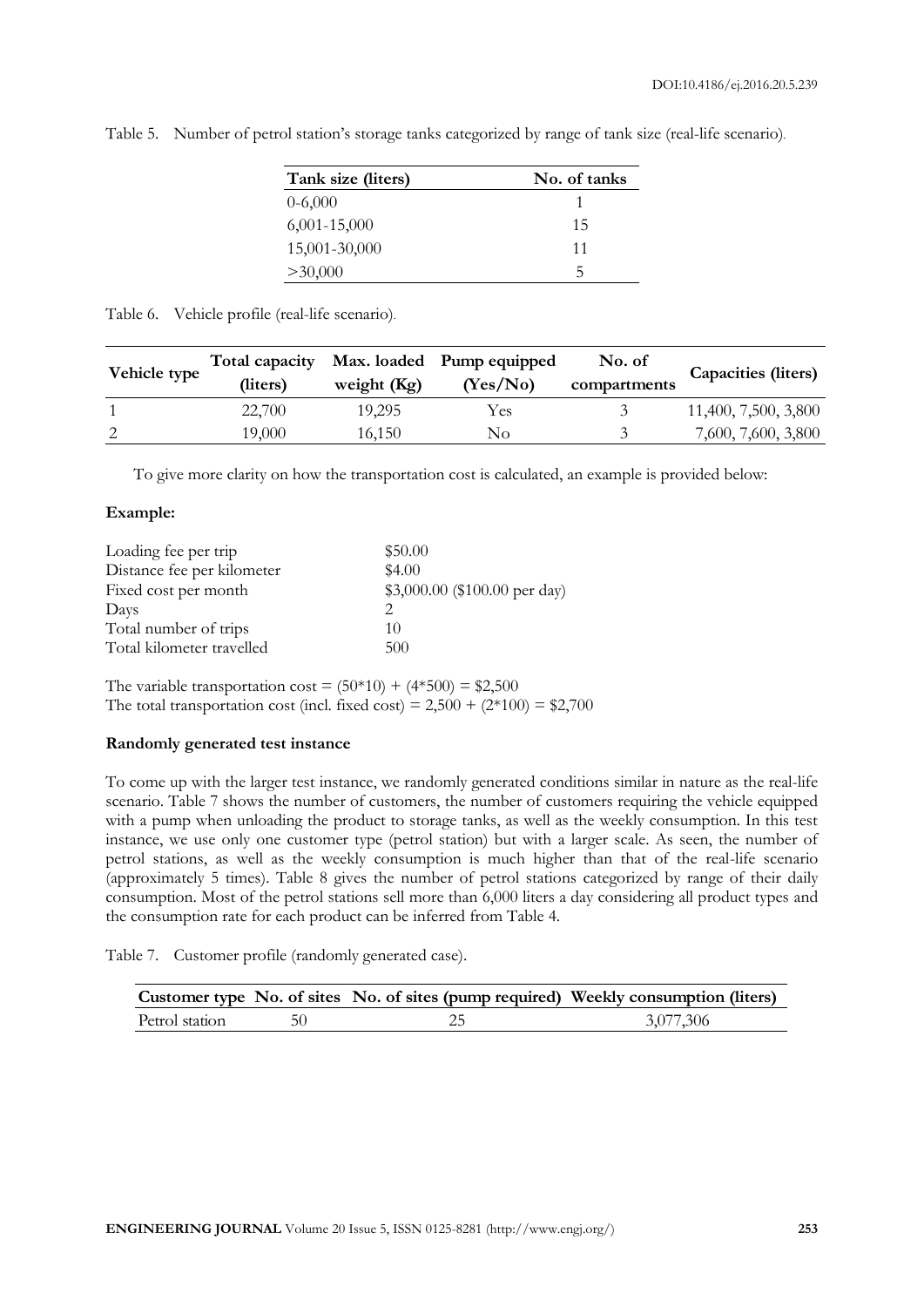| Tank size (liters) | No. of tanks |
|--------------------|--------------|
| $0-6,000$          |              |
| $6,001-15,000$     | 15           |
| 15,001-30,000      | 11           |
| >30,000            | b.           |

Table 5. Number of petrol station's storage tanks categorized by range of tank size (real-life scenario).

Table 6. Vehicle profile (real-life scenario).

| Vehicle type | Total capacity<br>(liters) | weight $(Kg)$ | Max. loaded Pump equipped<br>(Yes/No) | No. of<br>compartments | Capacities (liters)  |
|--------------|----------------------------|---------------|---------------------------------------|------------------------|----------------------|
|              | 22,700                     | 19,295        | Yes                                   | 3                      | 11,400, 7,500, 3,800 |
| 2            | 19,000                     | 16,150        | No                                    | $\mathcal{R}$          | 7,600, 7,600, 3,800  |
|              |                            |               |                                       |                        |                      |

To give more clarity on how the transportation cost is calculated, an example is provided below:

# **Example:**

| Loading fee per trip       | \$50.00                        |
|----------------------------|--------------------------------|
| Distance fee per kilometer | \$4.00                         |
| Fixed cost per month       | $$3,000.00$ (\$100.00 per day) |
| Days                       | っ                              |
| Total number of trips      | 10                             |
| Total kilometer travelled  | 500                            |

The variable transportation  $\text{cost} = (50*10) + (4*500) = $2,500$ The total transportation cost (incl. fixed cost) =  $2,500 + (2*100) = $2,700$ 

# **Randomly generated test instance**

To come up with the larger test instance, we randomly generated conditions similar in nature as the real-life scenario. Table 7 shows the number of customers, the number of customers requiring the vehicle equipped with a pump when unloading the product to storage tanks, as well as the weekly consumption. In this test instance, we use only one customer type (petrol station) but with a larger scale. As seen, the number of petrol stations, as well as the weekly consumption is much higher than that of the real-life scenario (approximately 5 times). Table 8 gives the number of petrol stations categorized by range of their daily consumption. Most of the petrol stations sell more than 6,000 liters a day considering all product types and the consumption rate for each product can be inferred from Table 4.

Table 7. Customer profile (randomly generated case).

|                | Customer type No. of sites No. of sites (pump required) Weekly consumption (liters) |           |
|----------------|-------------------------------------------------------------------------------------|-----------|
| Petrol station |                                                                                     | 3,077,306 |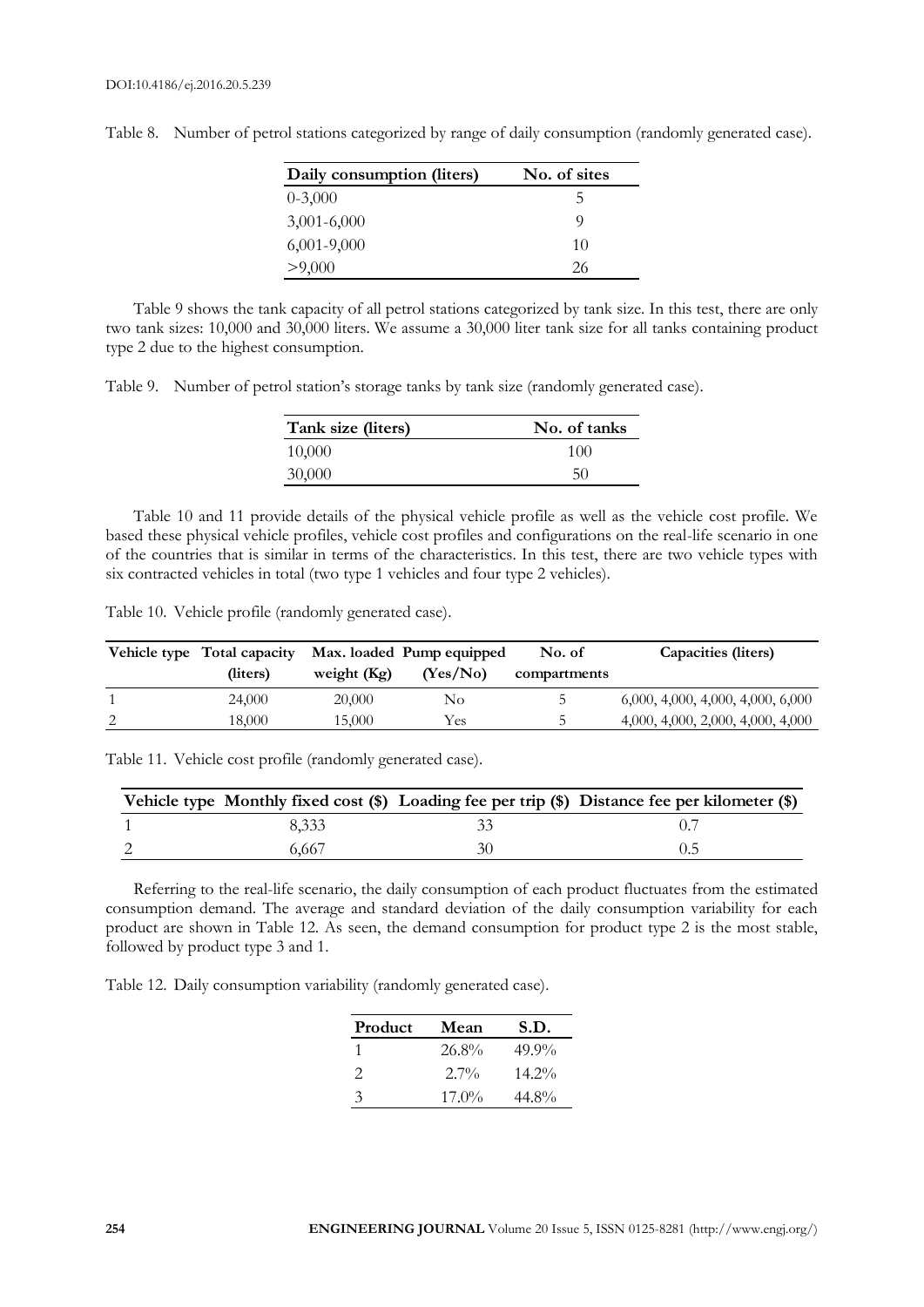| Daily consumption (liters) | No. of sites |
|----------------------------|--------------|
| $0 - 3,000$                | b.           |
| $3,001 - 6,000$            | O)           |
| $6,001-9,000$              | 10           |
| >9,000                     | 26           |

Table 8. Number of petrol stations categorized by range of daily consumption (randomly generated case).

Table 9 shows the tank capacity of all petrol stations categorized by tank size. In this test, there are only two tank sizes: 10,000 and 30,000 liters. We assume a 30,000 liter tank size for all tanks containing product type 2 due to the highest consumption.

Table 9. Number of petrol station's storage tanks by tank size (randomly generated case).

| Tank size (liters) | No. of tanks |
|--------------------|--------------|
| 10,000             | 100          |
| 30,000             | 50           |

Table 10 and 11 provide details of the physical vehicle profile as well as the vehicle cost profile. We based these physical vehicle profiles, vehicle cost profiles and configurations on the real-life scenario in one of the countries that is similar in terms of the characteristics. In this test, there are two vehicle types with six contracted vehicles in total (two type 1 vehicles and four type 2 vehicles).

Table 10. Vehicle profile (randomly generated case).

|   | Vehicle type Total capacity |               | Max. loaded Pump equipped | No. of       | Capacities (liters)               |
|---|-----------------------------|---------------|---------------------------|--------------|-----------------------------------|
|   | (liters)                    | weight $(Kg)$ | (Yes/No)                  | compartments |                                   |
|   | 24,000                      | 20,000        | No                        | C.           | 6,000, 4,000, 4,000, 4,000, 6,000 |
| 2 | 18.000                      | 15,000        | Yes                       | h            | 4,000, 4,000, 2,000, 4,000, 4,000 |

Table 11. Vehicle cost profile (randomly generated case).

|       | Vehicle type Monthly fixed cost (\$) Loading fee per trip (\$) Distance fee per kilometer (\$) |
|-------|------------------------------------------------------------------------------------------------|
| 8.333 |                                                                                                |
| 6.667 |                                                                                                |

Referring to the real-life scenario, the daily consumption of each product fluctuates from the estimated consumption demand. The average and standard deviation of the daily consumption variability for each product are shown in Table 12. As seen, the demand consumption for product type 2 is the most stable, followed by product type 3 and 1.

Table 12. Daily consumption variability (randomly generated case).

| Product       | Mean     | S.D.     |
|---------------|----------|----------|
|               | $26.8\%$ | $49.9\%$ |
| $\mathcal{D}$ | $2.7\%$  | $14.2\%$ |
| 3             | $17.0\%$ | $44.8\%$ |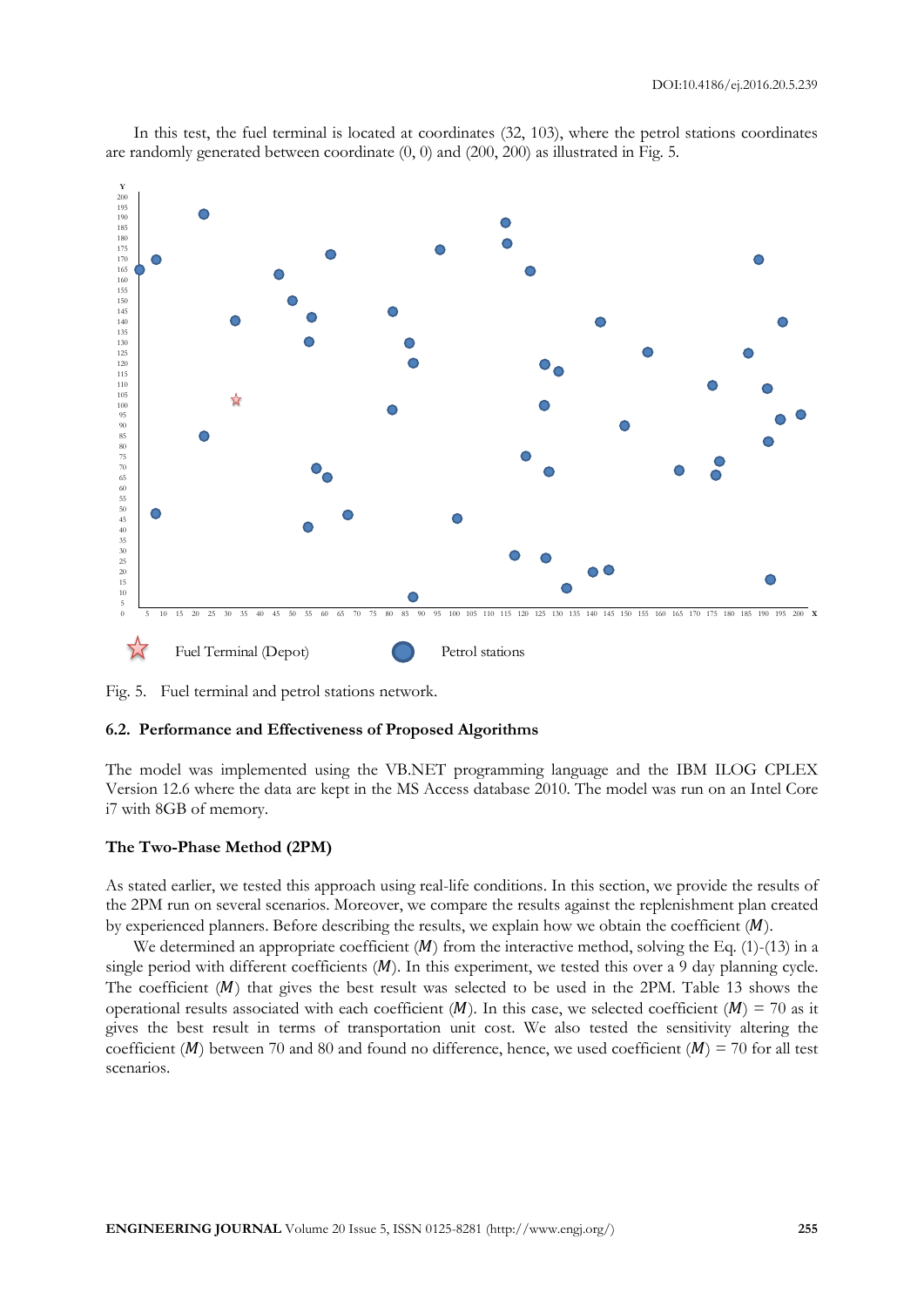

In this test, the fuel terminal is located at coordinates (32, 103), where the petrol stations coordinates are randomly generated between coordinate  $(0, 0)$  and  $(200, 200)$  as illustrated in Fig. 5.

Fig. 5. Fuel terminal and petrol stations network.

#### **6.2. Performance and Effectiveness of Proposed Algorithms**

The model was implemented using the VB.NET programming language and the IBM ILOG CPLEX Version 12.6 where the data are kept in the MS Access database 2010. The model was run on an Intel Core i7 with 8GB of memory.

#### **The Two-Phase Method (2PM)**

As stated earlier, we tested this approach using real-life conditions. In this section, we provide the results of the 2PM run on several scenarios. Moreover, we compare the results against the replenishment plan created by experienced planners. Before describing the results, we explain how we obtain the coefficient  $(M)$ .

We determined an appropriate coefficient  $(M)$  from the interactive method, solving the Eq. (1)-(13) in a single period with different coefficients  $(M)$ . In this experiment, we tested this over a 9 day planning cycle. The coefficient  $(M)$  that gives the best result was selected to be used in the 2PM. Table 13 shows the operational results associated with each coefficient  $(M)$ . In this case, we selected coefficient  $(M) = 70$  as it gives the best result in terms of transportation unit cost. We also tested the sensitivity altering the coefficient (*M*) between 70 and 80 and found no difference, hence, we used coefficient (*M*) = 70 for all test scenarios.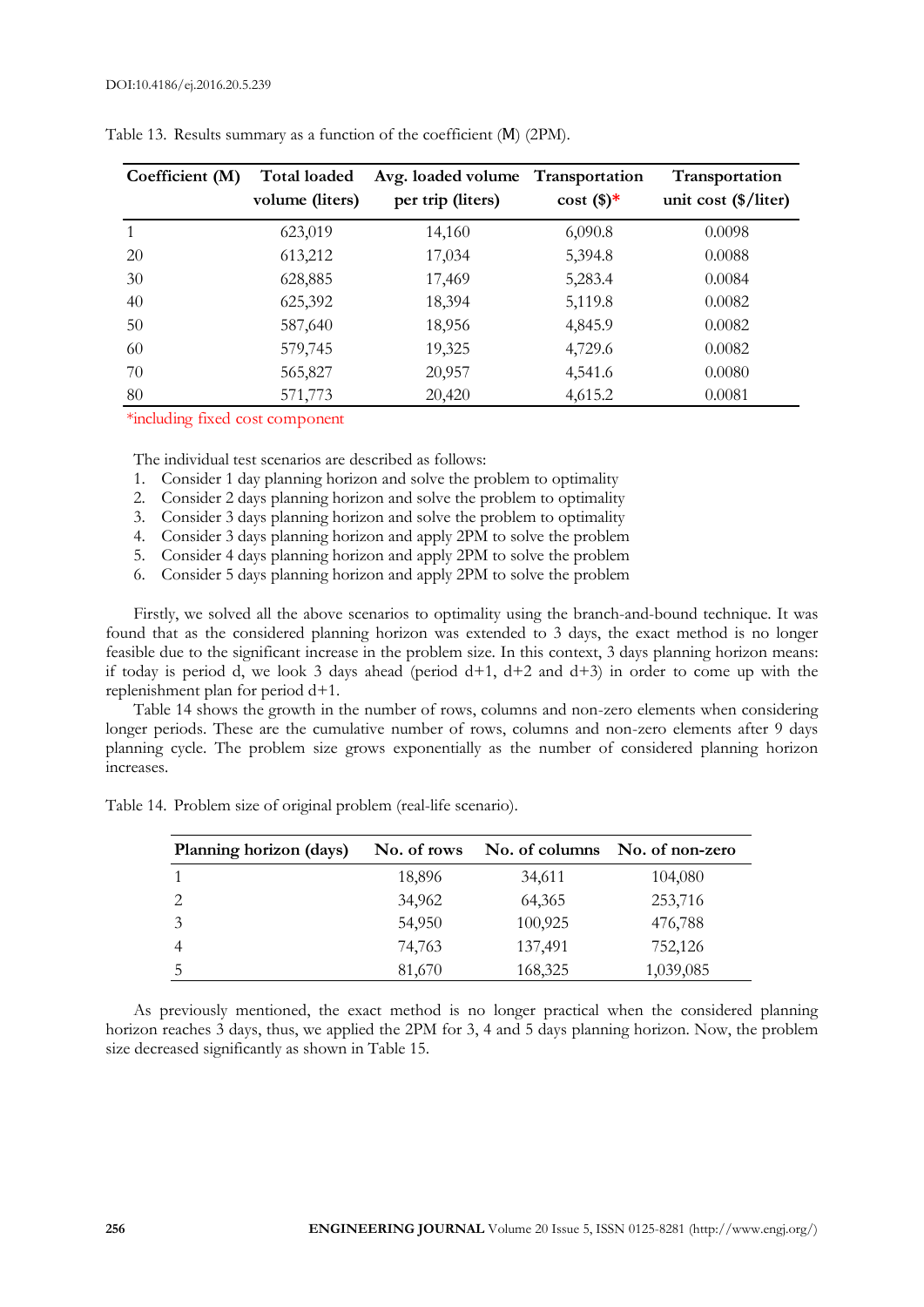| Coefficient (M) | <b>Total loaded</b><br>volume (liters) | Avg. loaded volume Transportation<br>per trip (liters) | $\cos\left(\frac{\pi}{2}\right)$ | Transportation<br>unit cost $(\frac{1}{2})$ liter) |
|-----------------|----------------------------------------|--------------------------------------------------------|----------------------------------|----------------------------------------------------|
|                 | 623,019                                | 14,160                                                 | 6,090.8                          | 0.0098                                             |
| 20              | 613,212                                | 17,034                                                 | 5,394.8                          | 0.0088                                             |
| 30              | 628,885                                | 17,469                                                 | 5,283.4                          | 0.0084                                             |
| 40              | 625,392                                | 18,394                                                 | 5,119.8                          | 0.0082                                             |
| 50              | 587,640                                | 18,956                                                 | 4,845.9                          | 0.0082                                             |
| 60              | 579,745                                | 19,325                                                 | 4,729.6                          | 0.0082                                             |
| 70              | 565,827                                | 20,957                                                 | 4,541.6                          | 0.0080                                             |
| 80              | 571,773                                | 20,420                                                 | 4,615.2                          | 0.0081                                             |

\*including fixed cost component

The individual test scenarios are described as follows:

- 1. Consider 1 day planning horizon and solve the problem to optimality
- 2. Consider 2 days planning horizon and solve the problem to optimality
- 3. Consider 3 days planning horizon and solve the problem to optimality
- 4. Consider 3 days planning horizon and apply 2PM to solve the problem
- 5. Consider 4 days planning horizon and apply 2PM to solve the problem
- 6. Consider 5 days planning horizon and apply 2PM to solve the problem

Firstly, we solved all the above scenarios to optimality using the branch-and-bound technique. It was found that as the considered planning horizon was extended to 3 days, the exact method is no longer feasible due to the significant increase in the problem size. In this context, 3 days planning horizon means: if today is period d, we look 3 days ahead (period  $d+1$ ,  $d+2$  and  $d+3$ ) in order to come up with the replenishment plan for period d+1.

Table 14 shows the growth in the number of rows, columns and non-zero elements when considering longer periods. These are the cumulative number of rows, columns and non-zero elements after 9 days planning cycle. The problem size grows exponentially as the number of considered planning horizon increases.

| Planning horizon (days) | No. of rows | No. of columns | No. of non-zero |
|-------------------------|-------------|----------------|-----------------|
|                         | 18,896      | 34,611         | 104,080         |
| 2                       | 34,962      | 64,365         | 253,716         |
|                         | 54,950      | 100,925        | 476,788         |
|                         | 74,763      | 137,491        | 752,126         |
| 5                       | 81,670      | 168,325        | 1,039,085       |

Table 14. Problem size of original problem (real-life scenario).

As previously mentioned, the exact method is no longer practical when the considered planning horizon reaches 3 days, thus, we applied the 2PM for 3, 4 and 5 days planning horizon. Now, the problem size decreased significantly as shown in Table 15.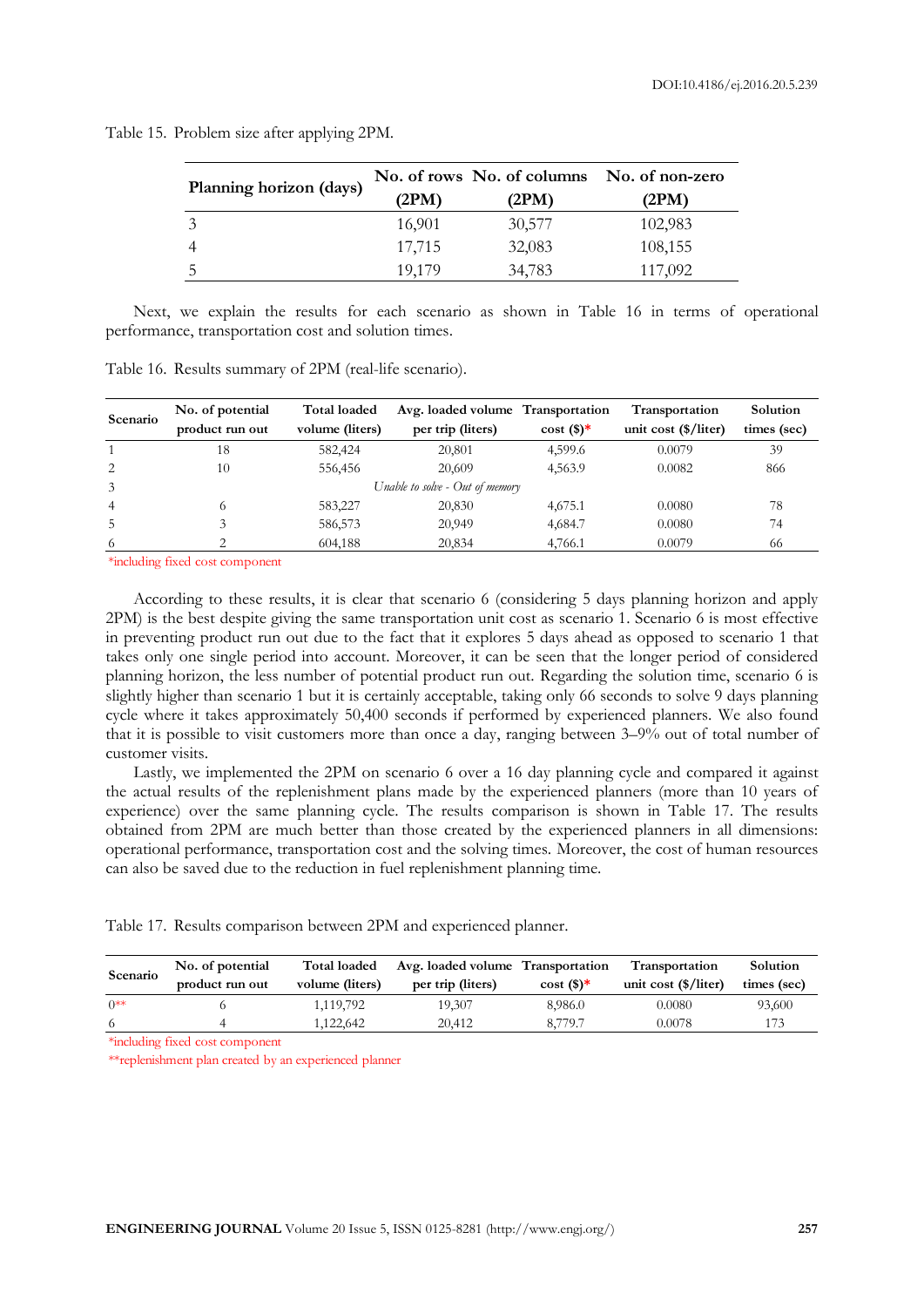| Planning horizon (days) | (2PM)  | No. of rows No. of columns<br>(2PM) | No. of non-zero<br>(2PM) |
|-------------------------|--------|-------------------------------------|--------------------------|
|                         | 16,901 | 30,577                              | 102,983                  |
|                         | 17,715 | 32,083                              | 108,155                  |
|                         | 19,179 | 34,783                              | 117,092                  |

Table 15. Problem size after applying 2PM.

Next, we explain the results for each scenario as shown in Table 16 in terms of operational performance, transportation cost and solution times.

| No. of potential | <b>Total loaded</b> |                   |         | Transportation                                                       | Solution    |
|------------------|---------------------|-------------------|---------|----------------------------------------------------------------------|-------------|
| product run out  | volume (liters)     | per trip (liters) | cost(   | unit cost $(\frac{1}{2})$ liter)                                     | times (sec) |
| 18               | 582,424             | 20,801            | 4,599.6 | 0.0079                                                               | 39          |
| 10               | 556,456             | 20,609            | 4,563.9 | 0.0082                                                               | 866         |
|                  |                     |                   |         |                                                                      |             |
| $^{(1)}$         | 583,227             | 20,830            | 4,675.1 | 0.0080                                                               | 78          |
|                  | 586,573             | 20,949            | 4,684.7 | 0.0080                                                               | 74          |
|                  | 604,188             | 20,834            | 4,766.1 | 0.0079                                                               | 66          |
|                  |                     |                   |         | Avg. loaded volume Transportation<br>Unable to solve - Out of memory |             |

\*including fixed cost component

According to these results, it is clear that scenario 6 (considering 5 days planning horizon and apply 2PM) is the best despite giving the same transportation unit cost as scenario 1. Scenario 6 is most effective in preventing product run out due to the fact that it explores 5 days ahead as opposed to scenario 1 that takes only one single period into account. Moreover, it can be seen that the longer period of considered planning horizon, the less number of potential product run out. Regarding the solution time, scenario 6 is slightly higher than scenario 1 but it is certainly acceptable, taking only 66 seconds to solve 9 days planning cycle where it takes approximately 50,400 seconds if performed by experienced planners. We also found that it is possible to visit customers more than once a day, ranging between 3–9% out of total number of customer visits.

Lastly, we implemented the 2PM on scenario 6 over a 16 day planning cycle and compared it against the actual results of the replenishment plans made by the experienced planners (more than 10 years of experience) over the same planning cycle. The results comparison is shown in Table 17. The results obtained from 2PM are much better than those created by the experienced planners in all dimensions: operational performance, transportation cost and the solving times. Moreover, the cost of human resources can also be saved due to the reduction in fuel replenishment planning time.

Table 17. Results comparison between 2PM and experienced planner.

| Scenario  | No. of potential<br>product run out | <b>Total loaded</b><br>volume (liters) | Avg. loaded volume Transportation<br>per trip (liters) | $cost($ \$)* | <b>Transportation</b><br>unit cost $(\frac{1}{2})$ liter) | Solution<br>times (sec) |
|-----------|-------------------------------------|----------------------------------------|--------------------------------------------------------|--------------|-----------------------------------------------------------|-------------------------|
| $()^{**}$ |                                     | 1.119.792                              | 19.307                                                 | 8.986.0      | 0.0080                                                    | 93,600                  |
| -6        |                                     | 1.122.642                              | 20.412                                                 | 8.779.7      | 0.0078                                                    |                         |

\*including fixed cost component

\*\*replenishment plan created by an experienced planner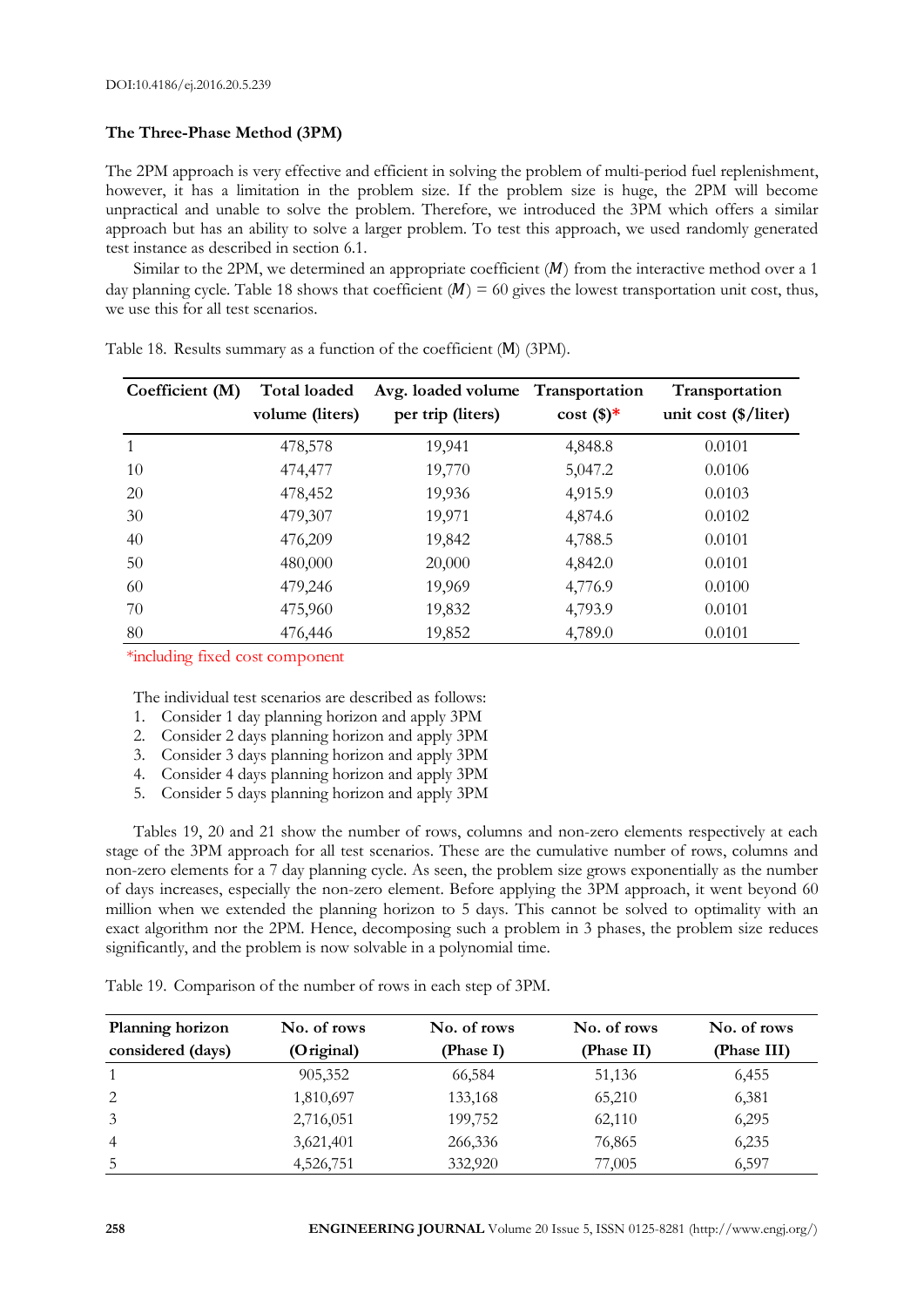# **The Three-Phase Method (3PM)**

The 2PM approach is very effective and efficient in solving the problem of multi-period fuel replenishment, however, it has a limitation in the problem size. If the problem size is huge, the 2PM will become unpractical and unable to solve the problem. Therefore, we introduced the 3PM which offers a similar approach but has an ability to solve a larger problem. To test this approach, we used randomly generated test instance as described in section 6.1.

Similar to the 2PM, we determined an appropriate coefficient  $(M)$  from the interactive method over a 1 day planning cycle. Table 18 shows that coefficient  $(M) = 60$  gives the lowest transportation unit cost, thus, we use this for all test scenarios.

| Coefficient (M) | Total loaded    | Avg. loaded volume | Transportation | Transportation                   |
|-----------------|-----------------|--------------------|----------------|----------------------------------|
|                 | volume (liters) | per trip (liters)  | cost(          | unit cost $(\frac{1}{2})$ liter) |
| 1               | 478,578         | 19,941             | 4,848.8        | 0.0101                           |
| 10              | 474,477         | 19,770             | 5,047.2        | 0.0106                           |
| 20              | 478,452         | 19,936             | 4,915.9        | 0.0103                           |
| 30              | 479,307         | 19,971             | 4,874.6        | 0.0102                           |
| 40              | 476,209         | 19,842             | 4,788.5        | 0.0101                           |
| 50              | 480,000         | 20,000             | 4,842.0        | 0.0101                           |
| 60              | 479,246         | 19,969             | 4,776.9        | 0.0100                           |
| 70              | 475,960         | 19,832             | 4,793.9        | 0.0101                           |
| 80              | 476,446         | 19,852             | 4,789.0        | 0.0101                           |

Table 18. Results summary as a function of the coefficient (M) (3PM).

\*including fixed cost component

The individual test scenarios are described as follows:

- 1. Consider 1 day planning horizon and apply 3PM
- 2. Consider 2 days planning horizon and apply 3PM
- 3. Consider 3 days planning horizon and apply 3PM
- 4. Consider 4 days planning horizon and apply 3PM
- 5. Consider 5 days planning horizon and apply 3PM

Tables 19, 20 and 21 show the number of rows, columns and non-zero elements respectively at each stage of the 3PM approach for all test scenarios. These are the cumulative number of rows, columns and non-zero elements for a 7 day planning cycle. As seen, the problem size grows exponentially as the number of days increases, especially the non-zero element. Before applying the 3PM approach, it went beyond 60 million when we extended the planning horizon to 5 days. This cannot be solved to optimality with an exact algorithm nor the 2PM. Hence, decomposing such a problem in 3 phases, the problem size reduces significantly, and the problem is now solvable in a polynomial time.

Table 19. Comparison of the number of rows in each step of 3PM.

| Planning horizon  | No. of rows | No. of rows | No. of rows | No. of rows |
|-------------------|-------------|-------------|-------------|-------------|
| considered (days) | (Original)  | (Phase I)   | (Phase II)  | (Phase III) |
|                   | 905,352     | 66,584      | 51,136      | 6,455       |
| 2                 | 1,810,697   | 133,168     | 65,210      | 6,381       |
| 3                 | 2,716,051   | 199,752     | 62,110      | 6,295       |
| $\overline{4}$    | 3,621,401   | 266,336     | 76,865      | 6,235       |
| 5                 | 4,526,751   | 332,920     | 77,005      | 6,597       |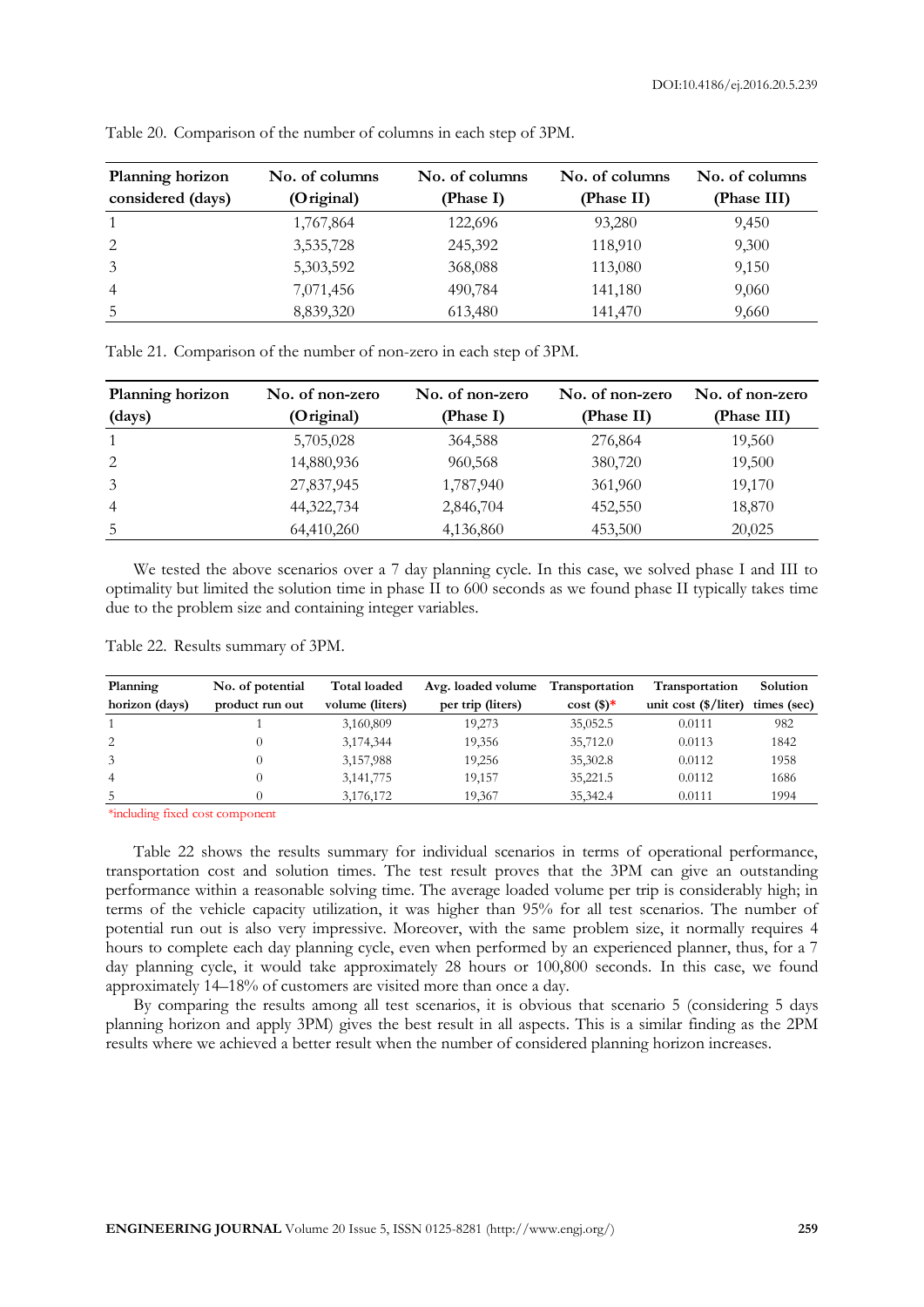| Planning horizon  | No. of columns | No. of columns | No. of columns | No. of columns |
|-------------------|----------------|----------------|----------------|----------------|
| considered (days) | (Original)     | (Phase I)      | (Phase II)     | (Phase III)    |
|                   | 1,767,864      | 122,696        | 93,280         | 9,450          |
| 2                 | 3,535,728      | 245,392        | 118,910        | 9,300          |
| 3                 | 5,303,592      | 368,088        | 113,080        | 9,150          |
| $\overline{4}$    | 7,071,456      | 490,784        | 141,180        | 9,060          |
| 5                 | 8,839,320      | 613,480        | 141,470        | 9,660          |

Table 20. Comparison of the number of columns in each step of 3PM.

| Table 21. Comparison of the number of non-zero in each step of 3PM. |  |
|---------------------------------------------------------------------|--|
|---------------------------------------------------------------------|--|

| Planning horizon | No. of non-zero | No. of non-zero | No. of non-zero | No. of non-zero |
|------------------|-----------------|-----------------|-----------------|-----------------|
| (days)           | (Original)      | (Phase I)       | (Phase II)      | (Phase III)     |
|                  | 5,705,028       | 364,588         | 276,864         | 19,560          |
| 2                | 14,880,936      | 960,568         | 380,720         | 19,500          |
| 3                | 27,837,945      | 1,787,940       | 361,960         | 19,170          |
| $\overline{4}$   | 44,322,734      | 2,846,704       | 452,550         | 18,870          |
| 5                | 64,410,260      | 4,136,860       | 453,500         | 20,025          |

We tested the above scenarios over a 7 day planning cycle. In this case, we solved phase I and III to optimality but limited the solution time in phase II to 600 seconds as we found phase II typically takes time due to the problem size and containing integer variables.

|  |  | Table 22. Results summary of 3PM. |  |
|--|--|-----------------------------------|--|
|--|--|-----------------------------------|--|

| Planning       | No. of potential | <b>Total loaded</b> | Avg. loaded volume | Transportation | <b>Transportation</b>              | Solution    |
|----------------|------------------|---------------------|--------------------|----------------|------------------------------------|-------------|
| horizon (days) | product run out  | volume (liters)     | per trip (liters)  | $cost($ \$)*   | unit cost $(\frac{2}{\pi})$ liter) | times (sec) |
|                |                  | 3,160,809           | 19,273             | 35,052.5       | 0.0111                             | 982         |
| 2              |                  | 3,174,344           | 19,356             | 35,712.0       | 0.0113                             | 1842        |
|                |                  | 3,157,988           | 19,256             | 35,302.8       | 0.0112                             | 1958        |
| $\overline{4}$ |                  | 3, 141, 775         | 19,157             | 35,221.5       | 0.0112                             | 1686        |
| 5              |                  | 3,176,172           | 19.367             | 35,342.4       | 0.0111                             | 1994        |

\*including fixed cost component

Table 22 shows the results summary for individual scenarios in terms of operational performance, transportation cost and solution times. The test result proves that the 3PM can give an outstanding performance within a reasonable solving time. The average loaded volume per trip is considerably high; in terms of the vehicle capacity utilization, it was higher than 95% for all test scenarios. The number of potential run out is also very impressive. Moreover, with the same problem size, it normally requires 4 hours to complete each day planning cycle, even when performed by an experienced planner, thus, for a 7 day planning cycle, it would take approximately 28 hours or 100,800 seconds. In this case, we found approximately 14–18% of customers are visited more than once a day.

By comparing the results among all test scenarios, it is obvious that scenario 5 (considering 5 days planning horizon and apply 3PM) gives the best result in all aspects. This is a similar finding as the 2PM results where we achieved a better result when the number of considered planning horizon increases.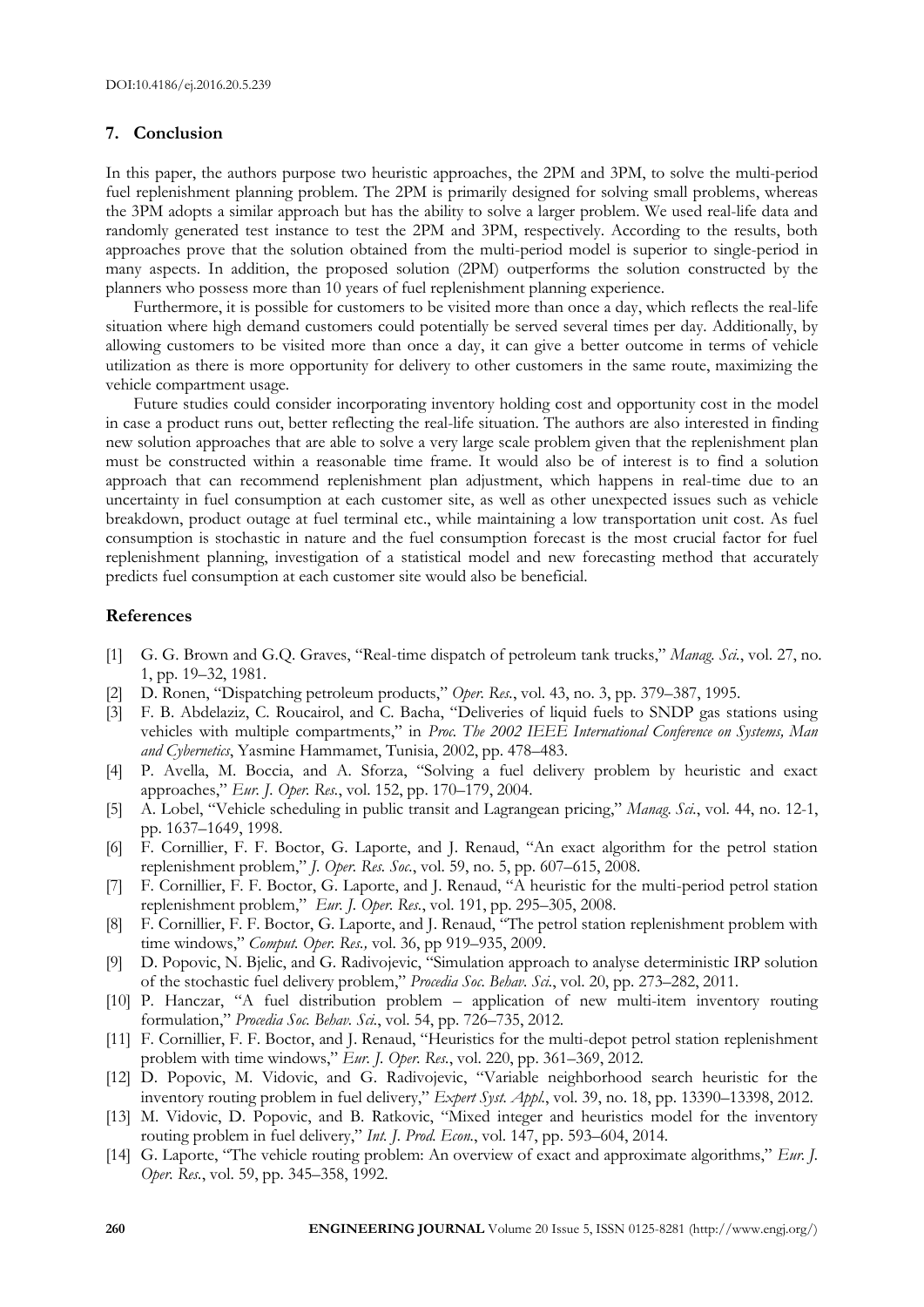#### **7. Conclusion**

In this paper, the authors purpose two heuristic approaches, the 2PM and 3PM, to solve the multi-period fuel replenishment planning problem. The 2PM is primarily designed for solving small problems, whereas the 3PM adopts a similar approach but has the ability to solve a larger problem. We used real-life data and randomly generated test instance to test the 2PM and 3PM, respectively. According to the results, both approaches prove that the solution obtained from the multi-period model is superior to single-period in many aspects. In addition, the proposed solution (2PM) outperforms the solution constructed by the planners who possess more than 10 years of fuel replenishment planning experience.

Furthermore, it is possible for customers to be visited more than once a day, which reflects the real-life situation where high demand customers could potentially be served several times per day. Additionally, by allowing customers to be visited more than once a day, it can give a better outcome in terms of vehicle utilization as there is more opportunity for delivery to other customers in the same route, maximizing the vehicle compartment usage.

Future studies could consider incorporating inventory holding cost and opportunity cost in the model in case a product runs out, better reflecting the real-life situation. The authors are also interested in finding new solution approaches that are able to solve a very large scale problem given that the replenishment plan must be constructed within a reasonable time frame. It would also be of interest is to find a solution approach that can recommend replenishment plan adjustment, which happens in real-time due to an uncertainty in fuel consumption at each customer site, as well as other unexpected issues such as vehicle breakdown, product outage at fuel terminal etc., while maintaining a low transportation unit cost. As fuel consumption is stochastic in nature and the fuel consumption forecast is the most crucial factor for fuel replenishment planning, investigation of a statistical model and new forecasting method that accurately predicts fuel consumption at each customer site would also be beneficial.

#### **References**

- [1] G. G. Brown and G.Q. Graves, "Real-time dispatch of petroleum tank trucks," *Manag. Sci.*, vol. 27, no. 1, pp. 19–32, 1981.
- [2] D. Ronen, "Dispatching petroleum products," *Oper. Res.*, vol. 43, no. 3, pp. 379–387, 1995.
- [3] F. B. Abdelaziz, C. Roucairol, and C. Bacha, "Deliveries of liquid fuels to SNDP gas stations using vehicles with multiple compartments," in *Proc. The 2002 IEEE International Conference on Systems, Man and Cybernetics*, Yasmine Hammamet, Tunisia, 2002, pp. 478–483.
- [4] P. Avella, M. Boccia, and A. Sforza, "Solving a fuel delivery problem by heuristic and exact approaches," *Eur. J. Oper. Res.*, vol. 152, pp. 170–179, 2004.
- [5] A. Lobel, "Vehicle scheduling in public transit and Lagrangean pricing," *Manag. Sci.*, vol. 44, no. 12-1, pp. 1637–1649, 1998.
- [6] F. Cornillier, F. F. Boctor, G. Laporte, and J. Renaud, "An exact algorithm for the petrol station replenishment problem," *J. Oper. Res. Soc.*, vol. 59, no. 5, pp. 607–615, 2008.
- [7] F. Cornillier, F. F. Boctor, G. Laporte, and J. Renaud, "A heuristic for the multi-period petrol station replenishment problem," *Eur. J. Oper. Res.*, vol. 191, pp. 295–305, 2008.
- [8] F. Cornillier, F. F. Boctor, G. Laporte, and J. Renaud, "The petrol station replenishment problem with time windows," *Comput. Oper. Res.,* vol. 36, pp 919–935, 2009.
- [9] D. Popovic, N. Bjelic, and G. Radivojevic, "Simulation approach to analyse deterministic IRP solution of the stochastic fuel delivery problem," *Procedia Soc. Behav. Sci.*, vol. 20, pp. 273–282, 2011.
- [10] P. Hanczar, "A fuel distribution problem application of new multi-item inventory routing formulation," *Procedia Soc. Behav. Sci.*, vol. 54, pp. 726–735, 2012.
- [11] F. Cornillier, F. F. Boctor, and J. Renaud, "Heuristics for the multi-depot petrol station replenishment problem with time windows," *Eur. J. Oper. Res.*, vol. 220, pp. 361–369, 2012.
- [12] D. Popovic, M. Vidovic, and G. Radivojevic, "Variable neighborhood search heuristic for the inventory routing problem in fuel delivery," *Expert Syst. Appl.*, vol. 39, no. 18, pp. 13390–13398, 2012.
- [13] M. Vidovic, D. Popovic, and B. Ratkovic, "Mixed integer and heuristics model for the inventory routing problem in fuel delivery," *Int. J. Prod. Econ.*, vol. 147, pp. 593–604, 2014.
- [14] G. Laporte, "The vehicle routing problem: An overview of exact and approximate algorithms," *Eur. J. Oper. Res.*, vol. 59, pp. 345–358, 1992.